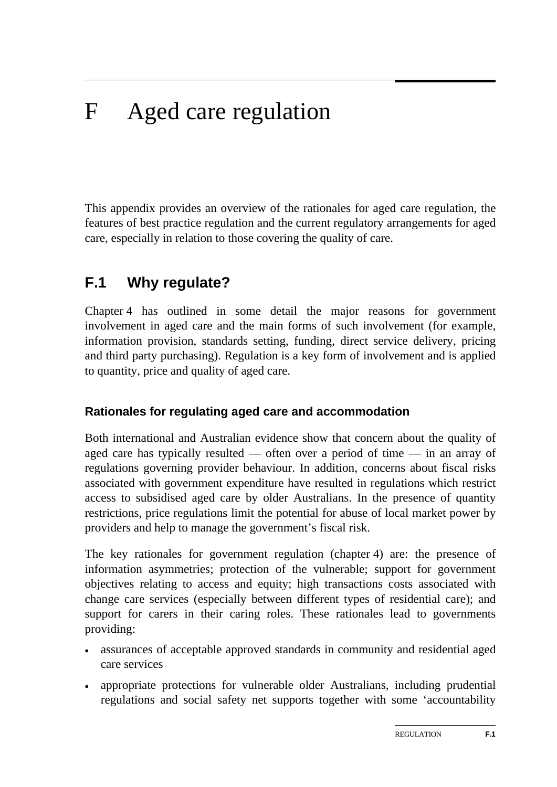# F Aged care regulation

This appendix provides an overview of the rationales for aged care regulation, the features of best practice regulation and the current regulatory arrangements for aged care, especially in relation to those covering the quality of care.

## **F.1 Why regulate?**

Chapter 4 has outlined in some detail the major reasons for government involvement in aged care and the main forms of such involvement (for example, information provision, standards setting, funding, direct service delivery, pricing and third party purchasing). Regulation is a key form of involvement and is applied to quantity, price and quality of aged care.

### **Rationales for regulating aged care and accommodation**

Both international and Australian evidence show that concern about the quality of aged care has typically resulted — often over a period of time — in an array of regulations governing provider behaviour. In addition, concerns about fiscal risks associated with government expenditure have resulted in regulations which restrict access to subsidised aged care by older Australians. In the presence of quantity restrictions, price regulations limit the potential for abuse of local market power by providers and help to manage the government's fiscal risk.

The key rationales for government regulation (chapter 4) are: the presence of information asymmetries; protection of the vulnerable; support for government objectives relating to access and equity; high transactions costs associated with change care services (especially between different types of residential care); and support for carers in their caring roles. These rationales lead to governments providing:

- assurances of acceptable approved standards in community and residential aged care services
- appropriate protections for vulnerable older Australians, including prudential regulations and social safety net supports together with some 'accountability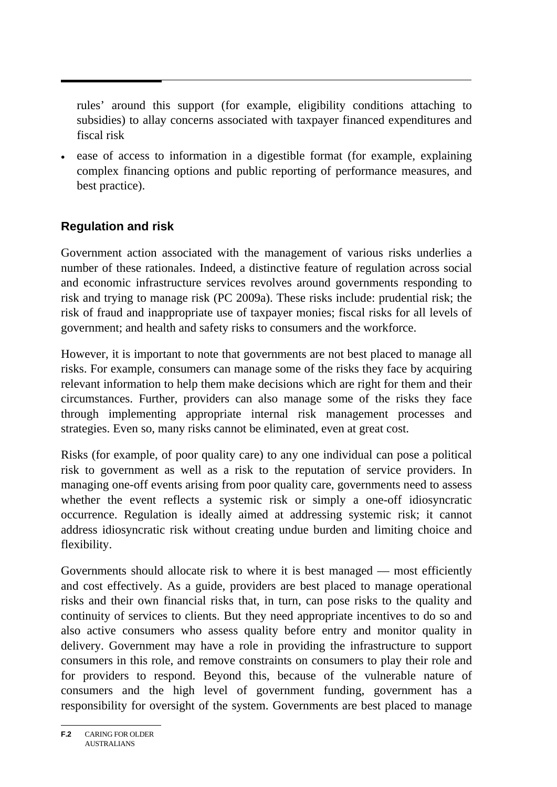rules' around this support (for example, eligibility conditions attaching to subsidies) to allay concerns associated with taxpayer financed expenditures and fiscal risk

 ease of access to information in a digestible format (for example, explaining complex financing options and public reporting of performance measures, and best practice).

### **Regulation and risk**

Government action associated with the management of various risks underlies a number of these rationales. Indeed, a distinctive feature of regulation across social and economic infrastructure services revolves around governments responding to risk and trying to manage risk (PC 2009a). These risks include: prudential risk; the risk of fraud and inappropriate use of taxpayer monies; fiscal risks for all levels of government; and health and safety risks to consumers and the workforce.

However, it is important to note that governments are not best placed to manage all risks. For example, consumers can manage some of the risks they face by acquiring relevant information to help them make decisions which are right for them and their circumstances. Further, providers can also manage some of the risks they face through implementing appropriate internal risk management processes and strategies. Even so, many risks cannot be eliminated, even at great cost.

Risks (for example, of poor quality care) to any one individual can pose a political risk to government as well as a risk to the reputation of service providers. In managing one-off events arising from poor quality care, governments need to assess whether the event reflects a systemic risk or simply a one-off idiosyncratic occurrence. Regulation is ideally aimed at addressing systemic risk; it cannot address idiosyncratic risk without creating undue burden and limiting choice and flexibility.

Governments should allocate risk to where it is best managed — most efficiently and cost effectively. As a guide, providers are best placed to manage operational risks and their own financial risks that, in turn, can pose risks to the quality and continuity of services to clients. But they need appropriate incentives to do so and also active consumers who assess quality before entry and monitor quality in delivery. Government may have a role in providing the infrastructure to support consumers in this role, and remove constraints on consumers to play their role and for providers to respond. Beyond this, because of the vulnerable nature of consumers and the high level of government funding, government has a responsibility for oversight of the system. Governments are best placed to manage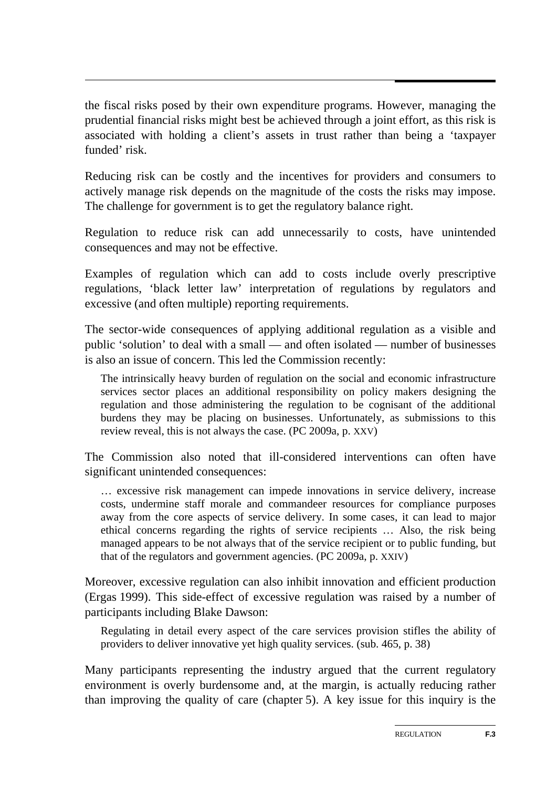the fiscal risks posed by their own expenditure programs. However, managing the prudential financial risks might best be achieved through a joint effort, as this risk is associated with holding a client's assets in trust rather than being a 'taxpayer funded' risk.

Reducing risk can be costly and the incentives for providers and consumers to actively manage risk depends on the magnitude of the costs the risks may impose. The challenge for government is to get the regulatory balance right.

Regulation to reduce risk can add unnecessarily to costs, have unintended consequences and may not be effective.

Examples of regulation which can add to costs include overly prescriptive regulations, 'black letter law' interpretation of regulations by regulators and excessive (and often multiple) reporting requirements.

The sector-wide consequences of applying additional regulation as a visible and public 'solution' to deal with a small — and often isolated — number of businesses is also an issue of concern. This led the Commission recently:

The intrinsically heavy burden of regulation on the social and economic infrastructure services sector places an additional responsibility on policy makers designing the regulation and those administering the regulation to be cognisant of the additional burdens they may be placing on businesses. Unfortunately, as submissions to this review reveal, this is not always the case. (PC 2009a, p. XXV)

The Commission also noted that ill-considered interventions can often have significant unintended consequences:

… excessive risk management can impede innovations in service delivery, increase costs, undermine staff morale and commandeer resources for compliance purposes away from the core aspects of service delivery. In some cases, it can lead to major ethical concerns regarding the rights of service recipients … Also, the risk being managed appears to be not always that of the service recipient or to public funding, but that of the regulators and government agencies. (PC 2009a, p. XXIV)

Moreover, excessive regulation can also inhibit innovation and efficient production (Ergas 1999). This side-effect of excessive regulation was raised by a number of participants including Blake Dawson:

Regulating in detail every aspect of the care services provision stifles the ability of providers to deliver innovative yet high quality services. (sub. 465, p. 38)

Many participants representing the industry argued that the current regulatory environment is overly burdensome and, at the margin, is actually reducing rather than improving the quality of care (chapter 5). A key issue for this inquiry is the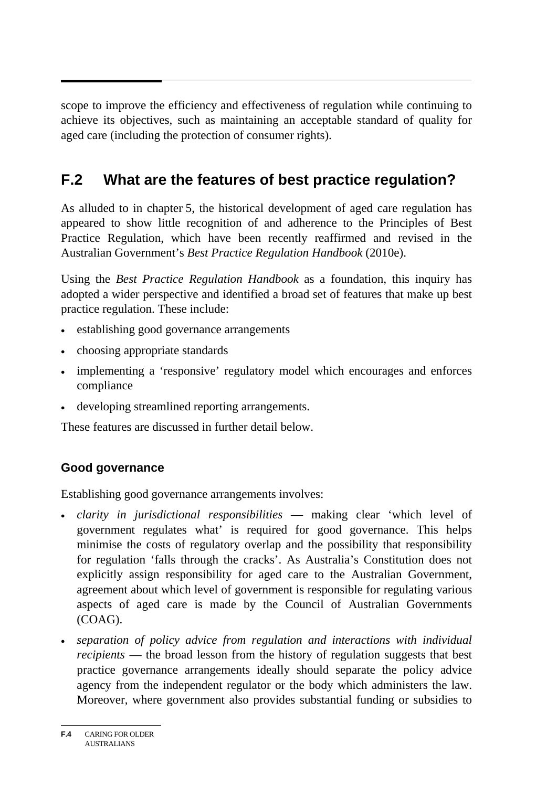scope to improve the efficiency and effectiveness of regulation while continuing to achieve its objectives, such as maintaining an acceptable standard of quality for aged care (including the protection of consumer rights).

## **F.2 What are the features of best practice regulation?**

As alluded to in chapter 5, the historical development of aged care regulation has appeared to show little recognition of and adherence to the Principles of Best Practice Regulation, which have been recently reaffirmed and revised in the Australian Government's *Best Practice Regulation Handbook* (2010e).

Using the *Best Practice Regulation Handbook* as a foundation, this inquiry has adopted a wider perspective and identified a broad set of features that make up best practice regulation. These include:

- establishing good governance arrangements
- choosing appropriate standards
- implementing a 'responsive' regulatory model which encourages and enforces compliance
- developing streamlined reporting arrangements.

These features are discussed in further detail below.

### **Good governance**

Establishing good governance arrangements involves:

- *clarity in jurisdictional responsibilities* making clear 'which level of government regulates what' is required for good governance. This helps minimise the costs of regulatory overlap and the possibility that responsibility for regulation 'falls through the cracks'. As Australia's Constitution does not explicitly assign responsibility for aged care to the Australian Government, agreement about which level of government is responsible for regulating various aspects of aged care is made by the Council of Australian Governments (COAG).
- *separation of policy advice from regulation and interactions with individual recipients* — the broad lesson from the history of regulation suggests that best practice governance arrangements ideally should separate the policy advice agency from the independent regulator or the body which administers the law. Moreover, where government also provides substantial funding or subsidies to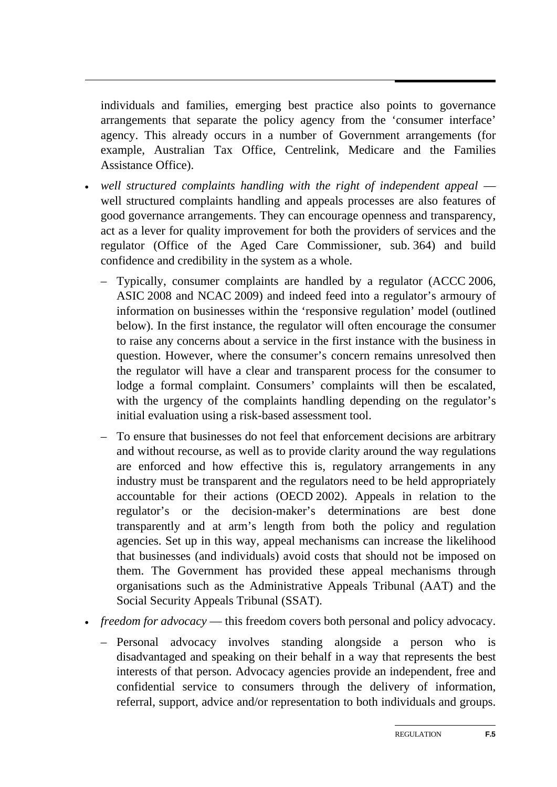individuals and families, emerging best practice also points to governance arrangements that separate the policy agency from the 'consumer interface' agency. This already occurs in a number of Government arrangements (for example, Australian Tax Office, Centrelink, Medicare and the Families Assistance Office).

- *well structured complaints handling with the right of independent appeal* well structured complaints handling and appeals processes are also features of good governance arrangements. They can encourage openness and transparency, act as a lever for quality improvement for both the providers of services and the regulator (Office of the Aged Care Commissioner, sub. 364) and build confidence and credibility in the system as a whole.
	- Typically, consumer complaints are handled by a regulator (ACCC 2006, ASIC 2008 and NCAC 2009) and indeed feed into a regulator's armoury of information on businesses within the 'responsive regulation' model (outlined below). In the first instance, the regulator will often encourage the consumer to raise any concerns about a service in the first instance with the business in question. However, where the consumer's concern remains unresolved then the regulator will have a clear and transparent process for the consumer to lodge a formal complaint. Consumers' complaints will then be escalated, with the urgency of the complaints handling depending on the regulator's initial evaluation using a risk-based assessment tool.
	- To ensure that businesses do not feel that enforcement decisions are arbitrary and without recourse, as well as to provide clarity around the way regulations are enforced and how effective this is, regulatory arrangements in any industry must be transparent and the regulators need to be held appropriately accountable for their actions (OECD 2002). Appeals in relation to the regulator's or the decision-maker's determinations are best done transparently and at arm's length from both the policy and regulation agencies. Set up in this way, appeal mechanisms can increase the likelihood that businesses (and individuals) avoid costs that should not be imposed on them. The Government has provided these appeal mechanisms through organisations such as the Administrative Appeals Tribunal (AAT) and the Social Security Appeals Tribunal (SSAT).
- *freedom for advocacy* this freedom covers both personal and policy advocacy.
	- Personal advocacy involves standing alongside a person who is disadvantaged and speaking on their behalf in a way that represents the best interests of that person. Advocacy agencies provide an independent, free and confidential service to consumers through the delivery of information, referral, support, advice and/or representation to both individuals and groups.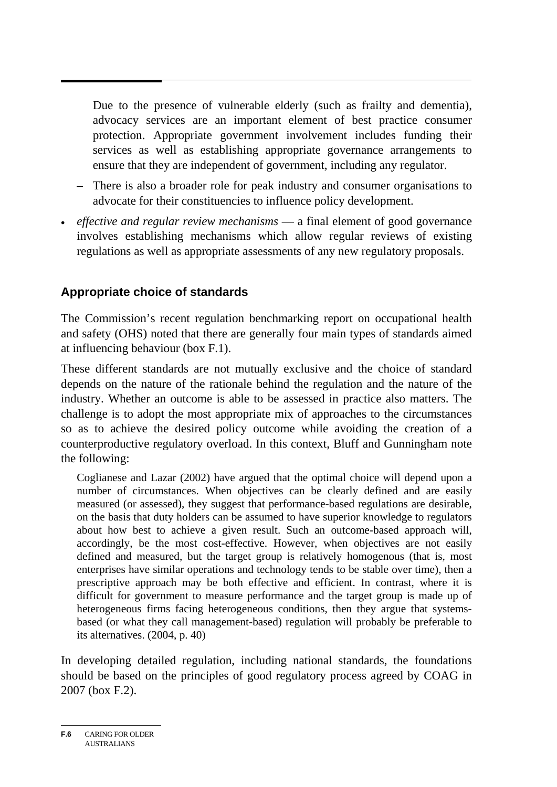Due to the presence of vulnerable elderly (such as frailty and dementia), advocacy services are an important element of best practice consumer protection. Appropriate government involvement includes funding their services as well as establishing appropriate governance arrangements to ensure that they are independent of government, including any regulator.

- There is also a broader role for peak industry and consumer organisations to advocate for their constituencies to influence policy development.
- *effective and regular review mechanisms* a final element of good governance involves establishing mechanisms which allow regular reviews of existing regulations as well as appropriate assessments of any new regulatory proposals.

### **Appropriate choice of standards**

The Commission's recent regulation benchmarking report on occupational health and safety (OHS) noted that there are generally four main types of standards aimed at influencing behaviour (box F.1).

These different standards are not mutually exclusive and the choice of standard depends on the nature of the rationale behind the regulation and the nature of the industry. Whether an outcome is able to be assessed in practice also matters. The challenge is to adopt the most appropriate mix of approaches to the circumstances so as to achieve the desired policy outcome while avoiding the creation of a counterproductive regulatory overload. In this context, Bluff and Gunningham note the following:

Coglianese and Lazar (2002) have argued that the optimal choice will depend upon a number of circumstances. When objectives can be clearly defined and are easily measured (or assessed), they suggest that performance-based regulations are desirable, on the basis that duty holders can be assumed to have superior knowledge to regulators about how best to achieve a given result. Such an outcome-based approach will, accordingly, be the most cost-effective. However, when objectives are not easily defined and measured, but the target group is relatively homogenous (that is, most enterprises have similar operations and technology tends to be stable over time), then a prescriptive approach may be both effective and efficient. In contrast, where it is difficult for government to measure performance and the target group is made up of heterogeneous firms facing heterogeneous conditions, then they argue that systemsbased (or what they call management-based) regulation will probably be preferable to its alternatives. (2004, p. 40)

In developing detailed regulation, including national standards, the foundations should be based on the principles of good regulatory process agreed by COAG in 2007 (box F.2).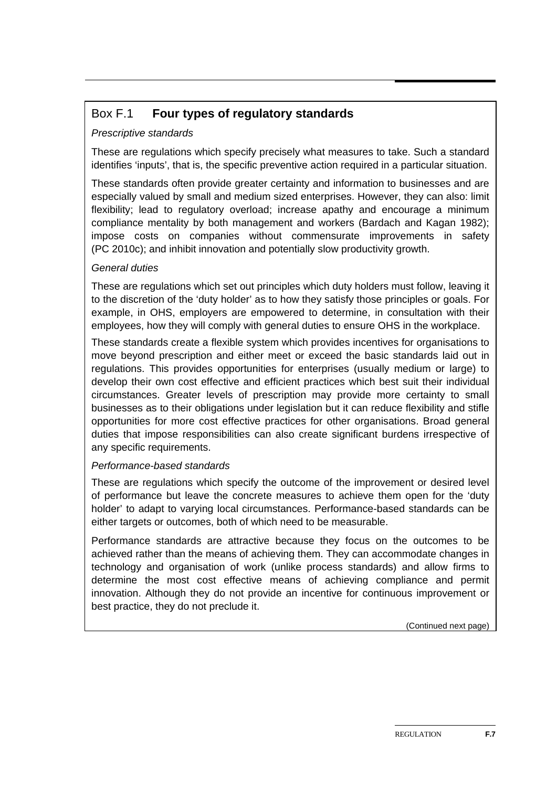### Box F.1 **Four types of regulatory standards**

#### *Prescriptive standards*

These are regulations which specify precisely what measures to take. Such a standard identifies 'inputs', that is, the specific preventive action required in a particular situation.

These standards often provide greater certainty and information to businesses and are especially valued by small and medium sized enterprises. However, they can also: limit flexibility; lead to regulatory overload; increase apathy and encourage a minimum compliance mentality by both management and workers (Bardach and Kagan 1982); impose costs on companies without commensurate improvements in safety (PC 2010c); and inhibit innovation and potentially slow productivity growth.

#### *General duties*

These are regulations which set out principles which duty holders must follow, leaving it to the discretion of the 'duty holder' as to how they satisfy those principles or goals. For example, in OHS, employers are empowered to determine, in consultation with their employees, how they will comply with general duties to ensure OHS in the workplace.

These standards create a flexible system which provides incentives for organisations to move beyond prescription and either meet or exceed the basic standards laid out in regulations. This provides opportunities for enterprises (usually medium or large) to develop their own cost effective and efficient practices which best suit their individual circumstances. Greater levels of prescription may provide more certainty to small businesses as to their obligations under legislation but it can reduce flexibility and stifle opportunities for more cost effective practices for other organisations. Broad general duties that impose responsibilities can also create significant burdens irrespective of any specific requirements.

#### *Performance-based standards*

These are regulations which specify the outcome of the improvement or desired level of performance but leave the concrete measures to achieve them open for the 'duty holder' to adapt to varying local circumstances. Performance-based standards can be either targets or outcomes, both of which need to be measurable.

Performance standards are attractive because they focus on the outcomes to be achieved rather than the means of achieving them. They can accommodate changes in technology and organisation of work (unlike process standards) and allow firms to determine the most cost effective means of achieving compliance and permit innovation. Although they do not provide an incentive for continuous improvement or best practice, they do not preclude it.

(Continued next page)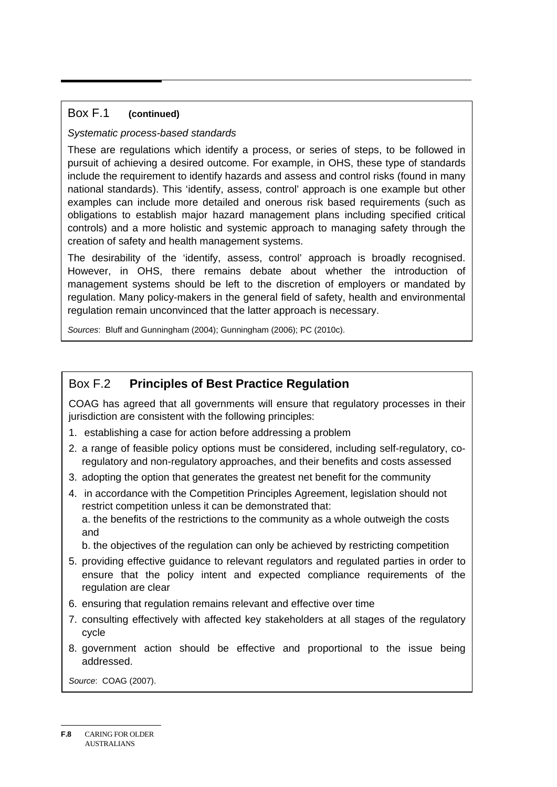#### Box F.1 **(continued)**

#### *Systematic process-based standards*

These are regulations which identify a process, or series of steps, to be followed in pursuit of achieving a desired outcome. For example, in OHS, these type of standards include the requirement to identify hazards and assess and control risks (found in many national standards). This 'identify, assess, control' approach is one example but other examples can include more detailed and onerous risk based requirements (such as obligations to establish major hazard management plans including specified critical controls) and a more holistic and systemic approach to managing safety through the creation of safety and health management systems.

The desirability of the 'identify, assess, control' approach is broadly recognised. However, in OHS, there remains debate about whether the introduction of management systems should be left to the discretion of employers or mandated by regulation. Many policy-makers in the general field of safety, health and environmental regulation remain unconvinced that the latter approach is necessary.

*Sources*: Bluff and Gunningham (2004); Gunningham (2006); PC (2010c).

### Box F.2 **Principles of Best Practice Regulation**

COAG has agreed that all governments will ensure that regulatory processes in their jurisdiction are consistent with the following principles:

- 1. establishing a case for action before addressing a problem
- 2. a range of feasible policy options must be considered, including self-regulatory, coregulatory and non-regulatory approaches, and their benefits and costs assessed
- 3. adopting the option that generates the greatest net benefit for the community
- 4. in accordance with the Competition Principles Agreement, legislation should not restrict competition unless it can be demonstrated that: a. the benefits of the restrictions to the community as a whole outweigh the costs and

b. the objectives of the regulation can only be achieved by restricting competition

- 5. providing effective guidance to relevant regulators and regulated parties in order to ensure that the policy intent and expected compliance requirements of the regulation are clear
- 6. ensuring that regulation remains relevant and effective over time
- 7. consulting effectively with affected key stakeholders at all stages of the regulatory cycle
- 8. government action should be effective and proportional to the issue being addressed.

*Source*: COAG (2007).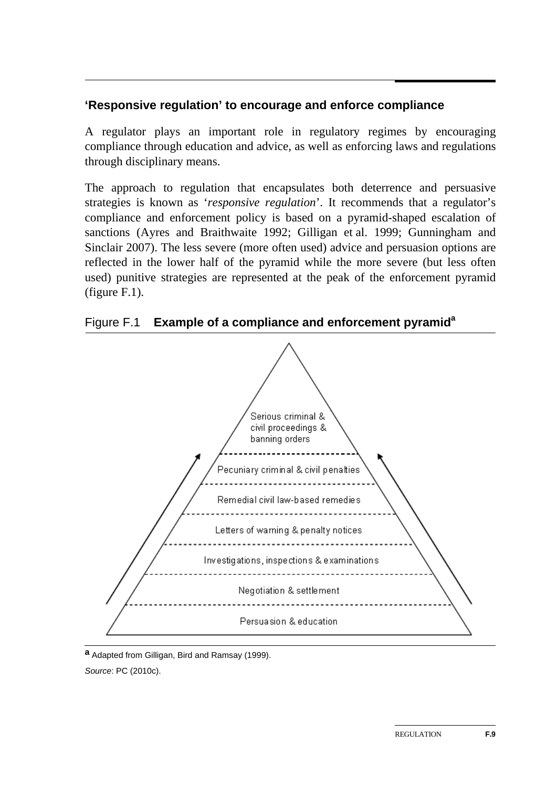### **'Responsive regulation' to encourage and enforce compliance**

A regulator plays an important role in regulatory regimes by encouraging compliance through education and advice, as well as enforcing laws and regulations through disciplinary means.

The approach to regulation that encapsulates both deterrence and persuasive strategies is known as '*responsive regulation*'. It recommends that a regulator's compliance and enforcement policy is based on a pyramid-shaped escalation of sanctions (Ayres and Braithwaite 1992; Gilligan et al. 1999; Gunningham and Sinclair 2007). The less severe (more often used) advice and persuasion options are reflected in the lower half of the pyramid while the more severe (but less often used) punitive strategies are represented at the peak of the enforcement pyramid (figure F.1).

Figure F.1 **Example of a compliance and enforcement pyramida**



**a** Adapted from Gilligan, Bird and Ramsay (1999). *Source*: PC (2010c).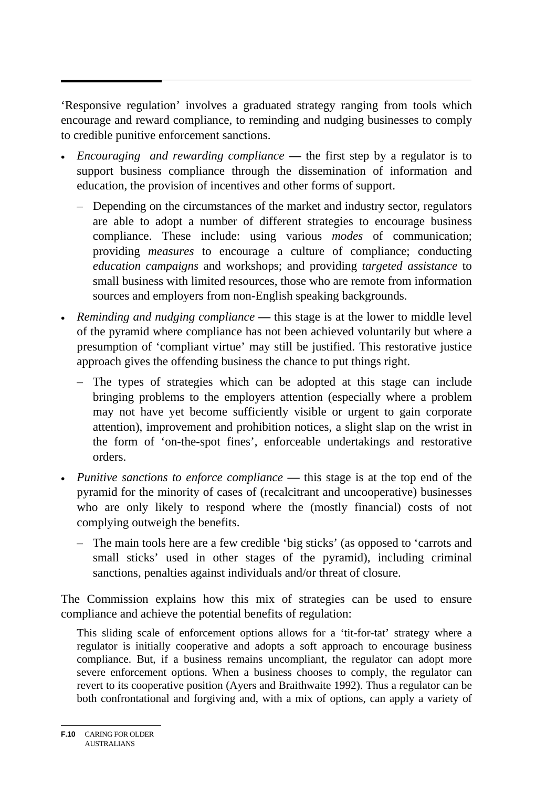'Responsive regulation' involves a graduated strategy ranging from tools which encourage and reward compliance, to reminding and nudging businesses to comply to credible punitive enforcement sanctions.

- *Encouraging and rewarding compliance* **—** the first step by a regulator is to support business compliance through the dissemination of information and education, the provision of incentives and other forms of support.
	- Depending on the circumstances of the market and industry sector, regulators are able to adopt a number of different strategies to encourage business compliance. These include: using various *modes* of communication; providing *measures* to encourage a culture of compliance; conducting *education campaigns* and workshops; and providing *targeted assistance* to small business with limited resources, those who are remote from information sources and employers from non-English speaking backgrounds.
- *Reminding and nudging compliance* this stage is at the lower to middle level of the pyramid where compliance has not been achieved voluntarily but where a presumption of 'compliant virtue' may still be justified. This restorative justice approach gives the offending business the chance to put things right.
	- The types of strategies which can be adopted at this stage can include bringing problems to the employers attention (especially where a problem may not have yet become sufficiently visible or urgent to gain corporate attention), improvement and prohibition notices, a slight slap on the wrist in the form of 'on-the-spot fines', enforceable undertakings and restorative orders.
- *Punitive sanctions to enforce compliance* **—** this stage is at the top end of the pyramid for the minority of cases of (recalcitrant and uncooperative) businesses who are only likely to respond where the (mostly financial) costs of not complying outweigh the benefits.
	- The main tools here are a few credible 'big sticks' (as opposed to 'carrots and small sticks' used in other stages of the pyramid), including criminal sanctions, penalties against individuals and/or threat of closure.

The Commission explains how this mix of strategies can be used to ensure compliance and achieve the potential benefits of regulation:

This sliding scale of enforcement options allows for a 'tit-for-tat' strategy where a regulator is initially cooperative and adopts a soft approach to encourage business compliance. But, if a business remains uncompliant, the regulator can adopt more severe enforcement options. When a business chooses to comply, the regulator can revert to its cooperative position (Ayers and Braithwaite 1992). Thus a regulator can be both confrontational and forgiving and, with a mix of options, can apply a variety of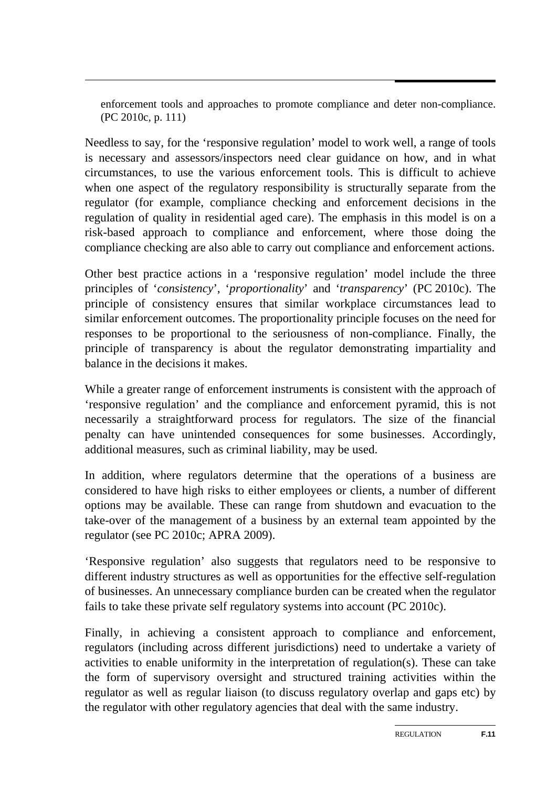enforcement tools and approaches to promote compliance and deter non-compliance. (PC 2010c, p. 111)

Needless to say, for the 'responsive regulation' model to work well, a range of tools is necessary and assessors/inspectors need clear guidance on how, and in what circumstances, to use the various enforcement tools. This is difficult to achieve when one aspect of the regulatory responsibility is structurally separate from the regulator (for example, compliance checking and enforcement decisions in the regulation of quality in residential aged care). The emphasis in this model is on a risk-based approach to compliance and enforcement, where those doing the compliance checking are also able to carry out compliance and enforcement actions.

Other best practice actions in a 'responsive regulation' model include the three principles of '*consistency*', '*proportionality*' and '*transparency*' (PC 2010c). The principle of consistency ensures that similar workplace circumstances lead to similar enforcement outcomes. The proportionality principle focuses on the need for responses to be proportional to the seriousness of non-compliance. Finally, the principle of transparency is about the regulator demonstrating impartiality and balance in the decisions it makes.

While a greater range of enforcement instruments is consistent with the approach of 'responsive regulation' and the compliance and enforcement pyramid, this is not necessarily a straightforward process for regulators. The size of the financial penalty can have unintended consequences for some businesses. Accordingly, additional measures, such as criminal liability, may be used.

In addition, where regulators determine that the operations of a business are considered to have high risks to either employees or clients, a number of different options may be available. These can range from shutdown and evacuation to the take-over of the management of a business by an external team appointed by the regulator (see PC 2010c; APRA 2009).

'Responsive regulation' also suggests that regulators need to be responsive to different industry structures as well as opportunities for the effective self-regulation of businesses. An unnecessary compliance burden can be created when the regulator fails to take these private self regulatory systems into account (PC 2010c).

Finally, in achieving a consistent approach to compliance and enforcement, regulators (including across different jurisdictions) need to undertake a variety of activities to enable uniformity in the interpretation of regulation(s). These can take the form of supervisory oversight and structured training activities within the regulator as well as regular liaison (to discuss regulatory overlap and gaps etc) by the regulator with other regulatory agencies that deal with the same industry.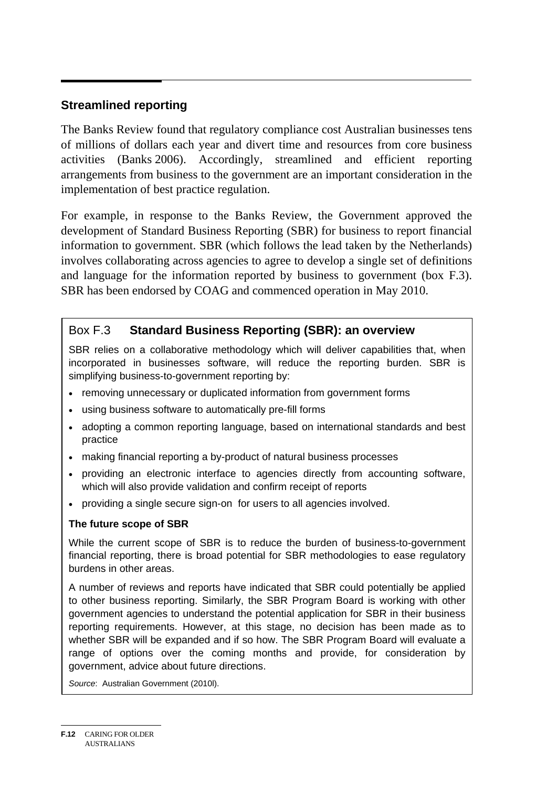### **Streamlined reporting**

The Banks Review found that regulatory compliance cost Australian businesses tens of millions of dollars each year and divert time and resources from core business activities (Banks 2006). Accordingly, streamlined and efficient reporting arrangements from business to the government are an important consideration in the implementation of best practice regulation.

For example, in response to the Banks Review, the Government approved the development of Standard Business Reporting (SBR) for business to report financial information to government. SBR (which follows the lead taken by the Netherlands) involves collaborating across agencies to agree to develop a single set of definitions and language for the information reported by business to government (box F.3). SBR has been endorsed by COAG and commenced operation in May 2010.

### Box F.3 **Standard Business Reporting (SBR): an overview**

SBR relies on a collaborative methodology which will deliver capabilities that, when incorporated in businesses software, will reduce the reporting burden. SBR is simplifying business-to-government reporting by:

- removing unnecessary or duplicated information from government forms
- using business software to automatically pre-fill forms
- adopting a common reporting language, based on international standards and best practice
- making financial reporting a by-product of natural business processes
- providing an electronic interface to agencies directly from accounting software, which will also provide validation and confirm receipt of reports
- providing a single secure sign-on for users to all agencies involved.

#### **The future scope of SBR**

While the current scope of SBR is to reduce the burden of business-to-government financial reporting, there is broad potential for SBR methodologies to ease regulatory burdens in other areas.

A number of reviews and reports have indicated that SBR could potentially be applied to other business reporting. Similarly, the SBR Program Board is working with other government agencies to understand the potential application for SBR in their business reporting requirements. However, at this stage, no decision has been made as to whether SBR will be expanded and if so how. The SBR Program Board will evaluate a range of options over the coming months and provide, for consideration by government, advice about future directions.

*Source*: Australian Government (2010l).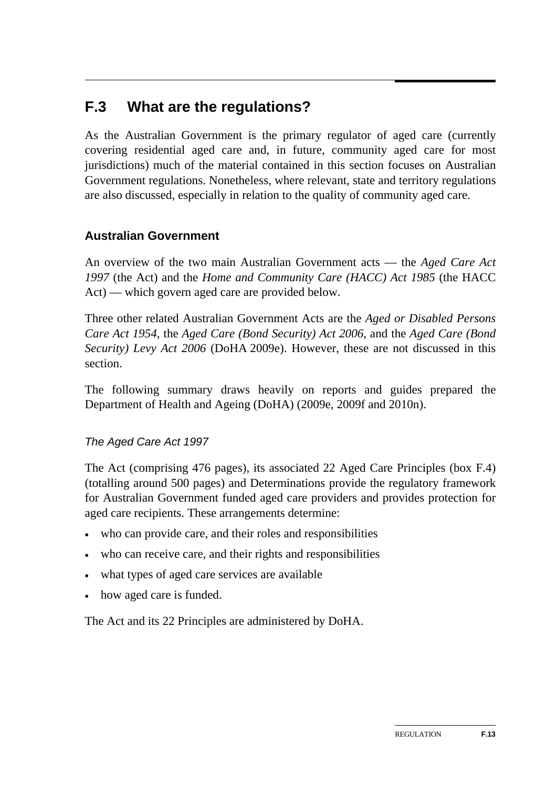## **F.3 What are the regulations?**

As the Australian Government is the primary regulator of aged care (currently covering residential aged care and, in future, community aged care for most jurisdictions) much of the material contained in this section focuses on Australian Government regulations. Nonetheless, where relevant, state and territory regulations are also discussed, especially in relation to the quality of community aged care.

### **Australian Government**

An overview of the two main Australian Government acts — the *Aged Care Act 1997* (the Act) and the *Home and Community Care (HACC) Act 1985* (the HACC Act) — which govern aged care are provided below.

Three other related Australian Government Acts are the *Aged or Disabled Persons Care Act 1954*, the *[Aged Care \(Bond Security\) Act 2006](http://www.comlaw.gov.au/comlaw/management.nsf/lookupindexpagesbyid/IP200613905?OpenDocument)*, and the *[Aged Care \(Bond](http://www.comlaw.gov.au/comlaw/management.nsf/lookupindexpagesbyid/IP200613906?OpenDocument)  [Security\) Levy Act 2006](http://www.comlaw.gov.au/comlaw/management.nsf/lookupindexpagesbyid/IP200613906?OpenDocument)* (DoHA 2009e). However, these are not discussed in this section.

The following summary draws heavily on reports and guides prepared the Department of Health and Ageing (DoHA) (2009e, 2009f and 2010n).

### *The Aged Care Act 1997*

The Act (comprising 476 pages), its associated 22 Aged Care Principles (box F.4) (totalling around 500 pages) and Determinations provide the regulatory framework for Australian Government funded aged care providers and provides protection for aged care recipients. These arrangements determine:

- who can provide care, and their roles and responsibilities
- who can receive care, and their rights and responsibilities
- what types of aged care services are available
- how aged care is funded.

The Act and its 22 Principles are administered by DoHA.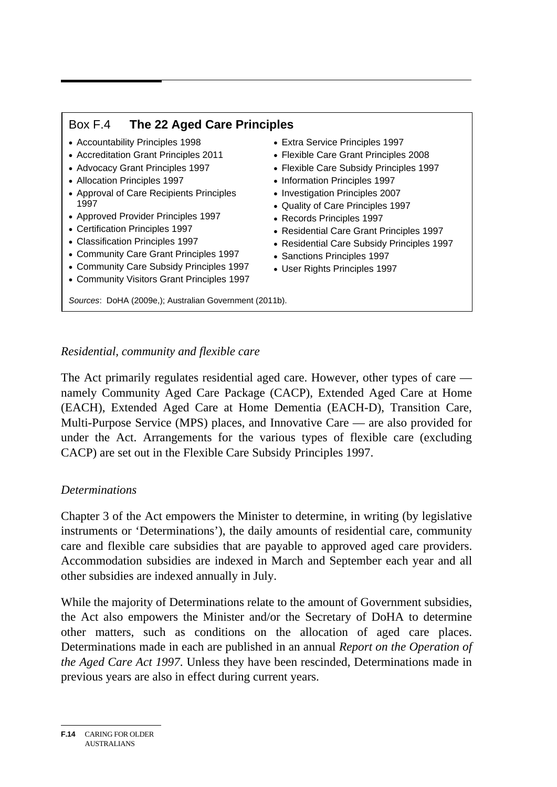### Box F.4 **The 22 Aged Care Principles**

- Accountability Principles 1998
- Accreditation Grant Principles 2011
- Advocacy Grant Principles 1997
- Allocation Principles 1997
- Approval of Care Recipients Principles 1997
- Approved Provider Principles 1997
- Certification Principles 1997
- Classification Principles 1997
- Community Care Grant Principles 1997
- Community Care Subsidy Principles 1997
- Community Visitors Grant Principles 1997
- Extra Service Principles 1997
- Flexible Care Grant Principles 2008
- Flexible Care Subsidy Principles 1997
- Information Principles 1997
- Investigation Principles 2007
- Quality of Care Principles 1997
- Records Principles 1997
- Residential Care Grant Principles 1997
- Residential Care Subsidy Principles 1997
- Sanctions Principles 1997
- User Rights Principles 1997

*Residential, community and flexible care* 

*Sources*: DoHA (2009e,); Australian Government (2011b).

The Act primarily regulates residential aged care. However, other types of care namely Community Aged Care Package (CACP), Extended Aged Care at Home (EACH), Extended Aged Care at Home Dementia (EACH-D), Transition Care, Multi-Purpose Service (MPS) places, and Innovative Care — are also provided for under the Act. Arrangements for the various types of flexible care (excluding CACP) are set out in the Flexible Care Subsidy Principles 1997.

#### *Determinations*

Chapter 3 of the Act empowers the Minister to determine, in writing (by legislative instruments or 'Determinations'), the daily amounts of residential care, community care and flexible care subsidies that are payable to approved aged care providers. Accommodation subsidies are indexed in March and September each year and all other subsidies are indexed annually in July.

While the majority of Determinations relate to the amount of Government subsidies, the Act also empowers the Minister and/or the Secretary of DoHA to determine other matters, such as conditions on the allocation of aged care places. Determinations made in each are published in an annual *Report on the Operation of the Aged Care Act 1997*. Unless they have been rescinded, Determinations made in previous years are also in effect during current years.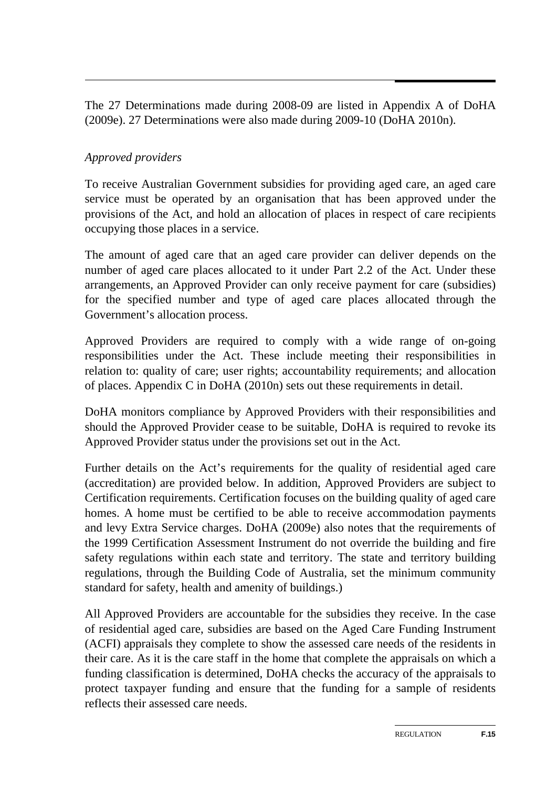The 27 Determinations made during 2008-09 are listed in Appendix A of DoHA (2009e). 27 Determinations were also made during 2009-10 (DoHA 2010n).

### *Approved providers*

To receive Australian Government subsidies for providing aged care, an aged care service must be operated by an organisation that has been approved under the provisions of the Act, and hold an allocation of places in respect of care recipients occupying those places in a service.

The amount of aged care that an aged care provider can deliver depends on the number of aged care places allocated to it under Part 2.2 of the Act. Under these arrangements, an Approved Provider can only receive payment for care (subsidies) for the specified number and type of aged care places allocated through the Government's allocation process.

Approved Providers are required to comply with a wide range of on-going responsibilities under the Act. These include meeting their responsibilities in relation to: quality of care; user rights; accountability requirements; and allocation of places. Appendix C in DoHA (2010n) sets out these requirements in detail.

DoHA monitors compliance by Approved Providers with their responsibilities and should the Approved Provider cease to be suitable, DoHA is required to revoke its Approved Provider status under the provisions set out in the Act.

Further details on the Act's requirements for the quality of residential aged care (accreditation) are provided below. In addition, Approved Providers are subject to Certification requirements. Certification focuses on the building quality of aged care homes. A home must be certified to be able to receive accommodation payments and levy Extra Service charges. DoHA (2009e) also notes that the requirements of the 1999 Certification Assessment Instrument do not override the building and fire safety regulations within each state and territory. The state and territory building regulations, through the Building Code of Australia, set the minimum community standard for safety, health and amenity of buildings.)

All Approved Providers are accountable for the subsidies they receive. In the case of residential aged care, subsidies are based on the Aged Care Funding Instrument (ACFI) appraisals they complete to show the assessed care needs of the residents in their care. As it is the care staff in the home that complete the appraisals on which a funding classification is determined, DoHA checks the accuracy of the appraisals to protect taxpayer funding and ensure that the funding for a sample of residents reflects their assessed care needs.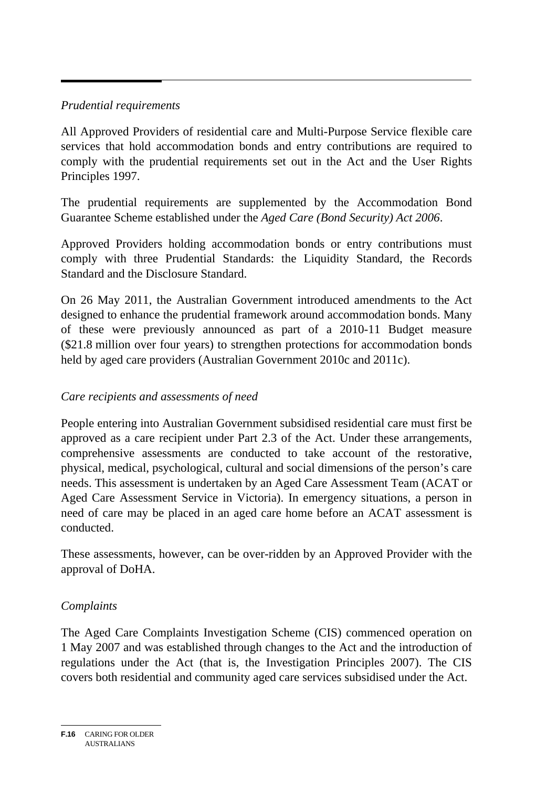### *Prudential requirements*

All Approved Providers of residential care and Multi-Purpose Service flexible care services that hold accommodation bonds and entry contributions are required to comply with the prudential requirements set out in the Act and the User Rights Principles 1997.

The prudential requirements are supplemented by the Accommodation Bond Guarantee Scheme established under the *Aged Care (Bond Security) Act 2006*.

Approved Providers holding accommodation bonds or entry contributions must comply with three Prudential Standards: the Liquidity Standard, the Records Standard and the Disclosure Standard.

On 26 May 2011, the Australian Government introduced amendments to the Act designed to enhance the prudential framework around accommodation bonds. Many of these were previously announced as part of a 2010-11 Budget measure (\$21.8 million over four years) to strengthen protections for accommodation bonds held by aged care providers (Australian Government 2010c and 2011c).

### *Care recipients and assessments of need*

People entering into Australian Government subsidised residential care must first be approved as a care recipient under Part 2.3 of the Act. Under these arrangements, comprehensive assessments are conducted to take account of the restorative, physical, medical, psychological, cultural and social dimensions of the person's care needs. This assessment is undertaken by an Aged Care Assessment Team (ACAT or Aged Care Assessment Service in Victoria). In emergency situations, a person in need of care may be placed in an aged care home before an ACAT assessment is conducted.

These assessments, however, can be over-ridden by an Approved Provider with the approval of DoHA.

### *Complaints*

The Aged Care Complaints Investigation Scheme (CIS) commenced operation on 1 May 2007 and was established through changes to the Act and the introduction of regulations under the Act (that is, the Investigation Principles 2007). The CIS covers both residential and community aged care services subsidised under the Act.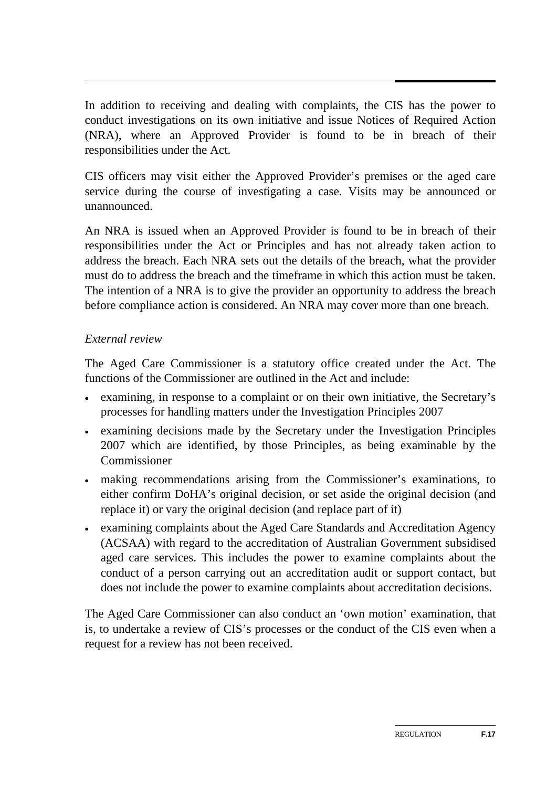In addition to receiving and dealing with complaints, the CIS has the power to conduct investigations on its own initiative and issue Notices of Required Action (NRA), where an Approved Provider is found to be in breach of their responsibilities under the Act.

CIS officers may visit either the Approved Provider's premises or the aged care service during the course of investigating a case. Visits may be announced or unannounced.

An NRA is issued when an Approved Provider is found to be in breach of their responsibilities under the Act or Principles and has not already taken action to address the breach. Each NRA sets out the details of the breach, what the provider must do to address the breach and the timeframe in which this action must be taken. The intention of a NRA is to give the provider an opportunity to address the breach before compliance action is considered. An NRA may cover more than one breach.

### *External review*

The Aged Care Commissioner is a statutory office created under the Act. The functions of the Commissioner are outlined in the Act and include:

- examining, in response to a complaint or on their own initiative, the Secretary's processes for handling matters under the Investigation Principles 2007
- examining decisions made by the Secretary under the Investigation Principles 2007 which are identified, by those Principles, as being examinable by the Commissioner
- making recommendations arising from the Commissioner's examinations, to either confirm DoHA's original decision, or set aside the original decision (and replace it) or vary the original decision (and replace part of it)
- examining complaints about the Aged Care Standards and Accreditation Agency (ACSAA) with regard to the accreditation of Australian Government subsidised aged care services. This includes the power to examine complaints about the conduct of a person carrying out an accreditation audit or support contact, but does not include the power to examine complaints about accreditation decisions.

The Aged Care Commissioner can also conduct an 'own motion' examination, that is, to undertake a review of CIS's processes or the conduct of the CIS even when a request for a review has not been received.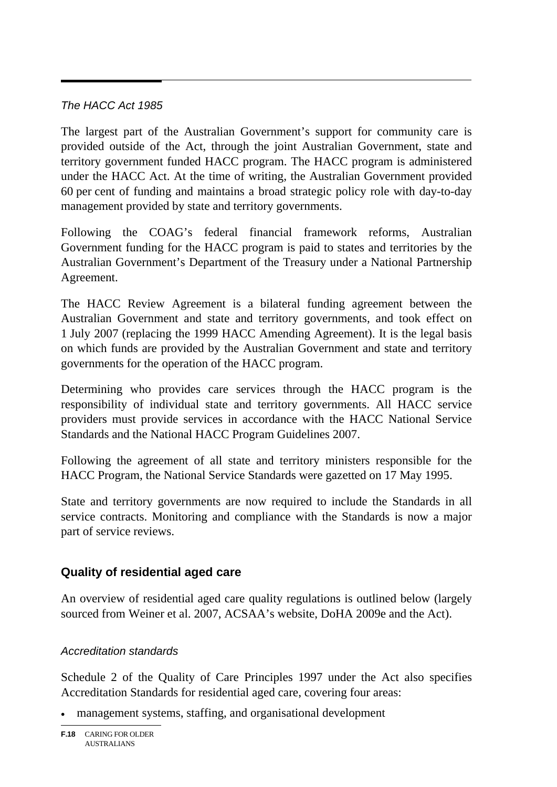### *The HACC Act 1985*

The largest part of the Australian Government's support for community care is provided outside of the Act, through the joint Australian Government, state and territory government funded HACC program. The HACC program is administered under the HACC Act. At the time of writing, the Australian Government provided 60 per cent of funding and maintains a broad strategic policy role with day-to-day management provided by state and territory governments.

Following the COAG's federal financial framework reforms, Australian Government funding for the HACC program is paid to states and territories by the Australian Government's Department of the Treasury under a National Partnership Agreement.

The HACC Review Agreement is a bilateral funding agreement between the Australian Government and state and territory governments, and took effect on 1 July 2007 (replacing the 1999 HACC Amending Agreement). It is the legal basis on which funds are provided by the Australian Government and state and territory governments for the operation of the HACC program.

Determining who provides care services through the HACC program is the responsibility of individual state and territory governments. All HACC service providers must provide services in accordance with the HACC National Service Standards and the National HACC Program Guidelines 2007.

Following the agreement of all state and territory ministers responsible for the HACC Program, the National Service Standards were gazetted on 17 May 1995.

State and territory governments are now required to include the Standards in all service contracts. Monitoring and compliance with the Standards is now a major part of service reviews.

### **Quality of residential aged care**

An overview of residential aged care quality regulations is outlined below (largely sourced from Weiner et al. 2007, ACSAA's website, DoHA 2009e and the Act).

### *Accreditation standards*

Schedule 2 of the Quality of Care Principles 1997 under the Act also specifies Accreditation Standards for residential aged care, covering four areas:

management systems, staffing, and organisational development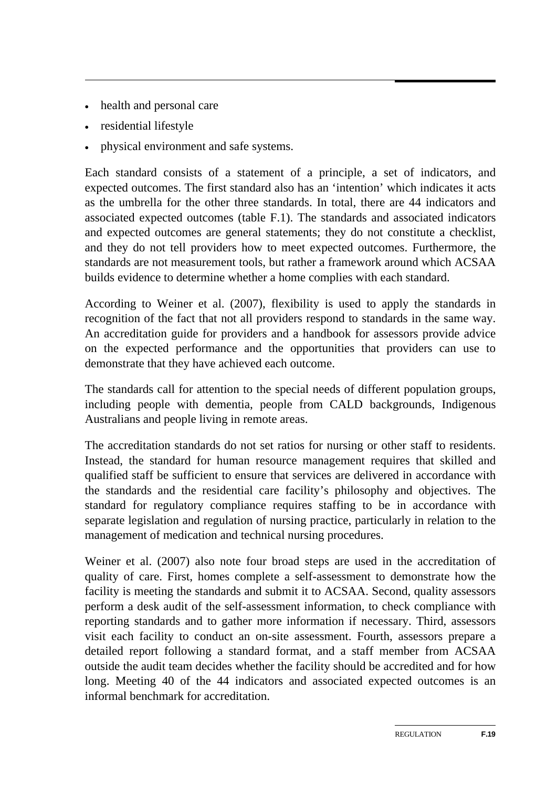- health and personal care
- residential lifestyle
- physical environment and safe systems.

Each standard consists of a statement of a principle, a set of indicators, and expected outcomes. The first standard also has an 'intention' which indicates it acts as the umbrella for the other three standards. In total, there are 44 indicators and associated expected outcomes (table F.1). The standards and associated indicators and expected outcomes are general statements; they do not constitute a checklist, and they do not tell providers how to meet expected outcomes. Furthermore, the standards are not measurement tools, but rather a framework around which ACSAA builds evidence to determine whether a home complies with each standard.

According to Weiner et al. (2007), flexibility is used to apply the standards in recognition of the fact that not all providers respond to standards in the same way. An accreditation guide for providers and a handbook for assessors provide advice on the expected performance and the opportunities that providers can use to demonstrate that they have achieved each outcome.

The standards call for attention to the special needs of different population groups, including people with dementia, people from CALD backgrounds, Indigenous Australians and people living in remote areas.

The accreditation standards do not set ratios for nursing or other staff to residents. Instead, the standard for human resource management requires that skilled and qualified staff be sufficient to ensure that services are delivered in accordance with the standards and the residential care facility's philosophy and objectives. The standard for regulatory compliance requires staffing to be in accordance with separate legislation and regulation of nursing practice, particularly in relation to the management of medication and technical nursing procedures.

Weiner et al. (2007) also note four broad steps are used in the accreditation of quality of care. First, homes complete a self-assessment to demonstrate how the facility is meeting the standards and submit it to ACSAA. Second, quality assessors perform a desk audit of the self-assessment information, to check compliance with reporting standards and to gather more information if necessary. Third, assessors visit each facility to conduct an on-site assessment. Fourth, assessors prepare a detailed report following a standard format, and a staff member from ACSAA outside the audit team decides whether the facility should be accredited and for how long. Meeting 40 of the 44 indicators and associated expected outcomes is an informal benchmark for accreditation.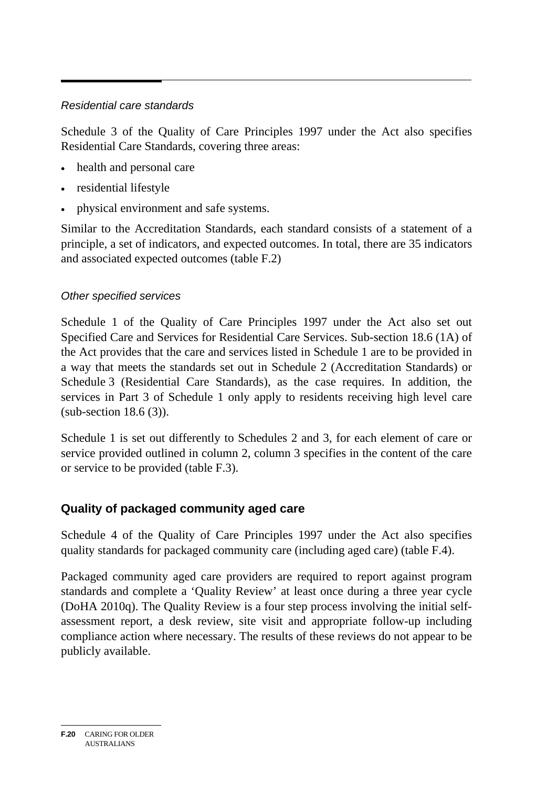### *Residential care standards*

Schedule 3 of the Quality of Care Principles 1997 under the Act also specifies Residential Care Standards, covering three areas:

- health and personal care
- residential lifestyle
- physical environment and safe systems.

Similar to the Accreditation Standards, each standard consists of a statement of a principle, a set of indicators, and expected outcomes. In total, there are 35 indicators and associated expected outcomes (table F.2)

#### *Other specified services*

Schedule 1 of the Quality of Care Principles 1997 under the Act also set out Specified Care and Services for Residential Care Services. Sub-section 18.6 (1A) of the Act provides that the care and services listed in Schedule 1 are to be provided in a way that meets the standards set out in Schedule 2 (Accreditation Standards) or Schedule 3 (Residential Care Standards), as the case requires. In addition, the services in Part 3 of Schedule 1 only apply to residents receiving high level care (sub-section 18.6 (3)).

Schedule 1 is set out differently to Schedules 2 and 3, for each element of care or service provided outlined in column 2, column 3 specifies in the content of the care or service to be provided (table F.3).

### **Quality of packaged community aged care**

Schedule 4 of the Quality of Care Principles 1997 under the Act also specifies quality standards for packaged community care (including aged care) (table F.4).

Packaged community aged care providers are required to report against program standards and complete a 'Quality Review' at least once during a three year cycle (DoHA 2010q). The Quality Review is a four step process involving the initial selfassessment report, a desk review, site visit and appropriate follow-up including compliance action where necessary. The results of these reviews do not appear to be publicly available.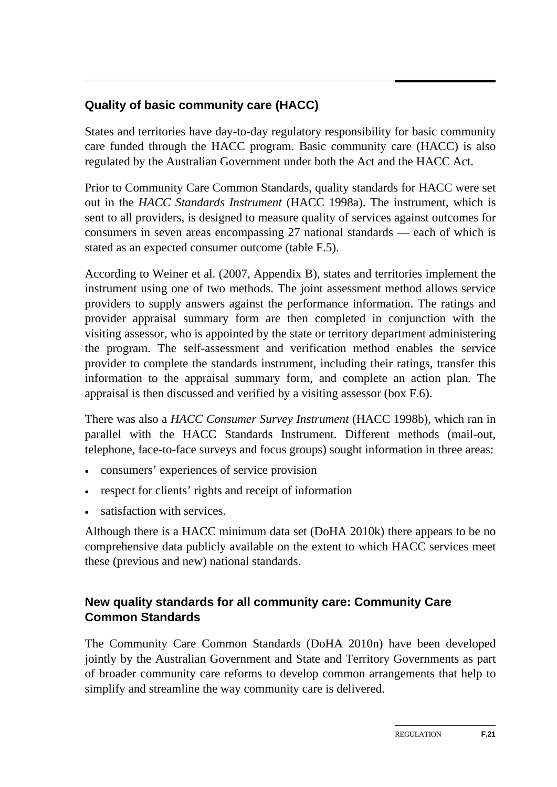### **Quality of basic community care (HACC)**

States and territories have day-to-day regulatory responsibility for basic community care funded through the HACC program. Basic community care (HACC) is also regulated by the Australian Government under both the Act and the HACC Act.

Prior to Community Care Common Standards, quality standards for HACC were set out in the *HACC Standards Instrument* (HACC 1998a). The instrument, which is sent to all providers, is designed to measure quality of services against outcomes for consumers in seven areas encompassing 27 national standards — each of which is stated as an expected consumer outcome (table F.5).

According to Weiner et al. (2007, Appendix B), states and territories implement the instrument using one of two methods. The joint assessment method allows service providers to supply answers against the performance information. The ratings and provider appraisal summary form are then completed in conjunction with the visiting assessor, who is appointed by the state or territory department administering the program. The self-assessment and verification method enables the service provider to complete the standards instrument, including their ratings, transfer this information to the appraisal summary form, and complete an action plan. The appraisal is then discussed and verified by a visiting assessor (box F.6).

There was also a *HACC Consumer Survey Instrument* (HACC 1998b), which ran in parallel with the HACC Standards Instrument. Different methods (mail-out, telephone, face-to-face surveys and focus groups) sought information in three areas:

- consumers' experiences of service provision
- respect for clients' rights and receipt of information
- satisfaction with services.

Although there is a HACC minimum data set (DoHA 2010k) there appears to be no comprehensive data publicly available on the extent to which HACC services meet these (previous and new) national standards.

### **New quality standards for all community care: Community Care Common Standards**

The Community Care Common Standards (DoHA 2010n) have been developed jointly by the Australian Government and State and Territory Governments as part of broader community care reforms to develop common arrangements that help to simplify and streamline the way community care is delivered.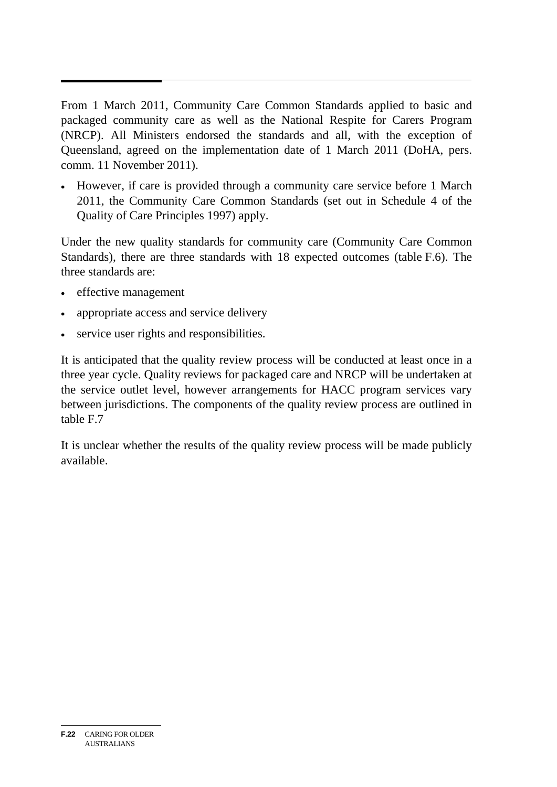From 1 March 2011, Community Care Common Standards applied to basic and packaged community care as well as the National Respite for Carers Program (NRCP). All Ministers endorsed the standards and all, with the exception of Queensland, agreed on the implementation date of 1 March 2011 (DoHA, pers. comm. 11 November 2011).

 However, if care is provided through a community care service before 1 March 2011, the Community Care Common Standards (set out in Schedule 4 of the Quality of Care Principles 1997) apply.

Under the new quality standards for community care (Community Care Common Standards), there are three standards with 18 expected outcomes (table F.6). The three standards are:

- effective management
- appropriate access and service delivery
- service user rights and responsibilities.

It is anticipated that the quality review process will be conducted at least once in a three year cycle. Quality reviews for packaged care and NRCP will be undertaken at the service outlet level, however arrangements for HACC program services vary between jurisdictions. The components of the quality review process are outlined in table F.7

It is unclear whether the results of the quality review process will be made publicly available.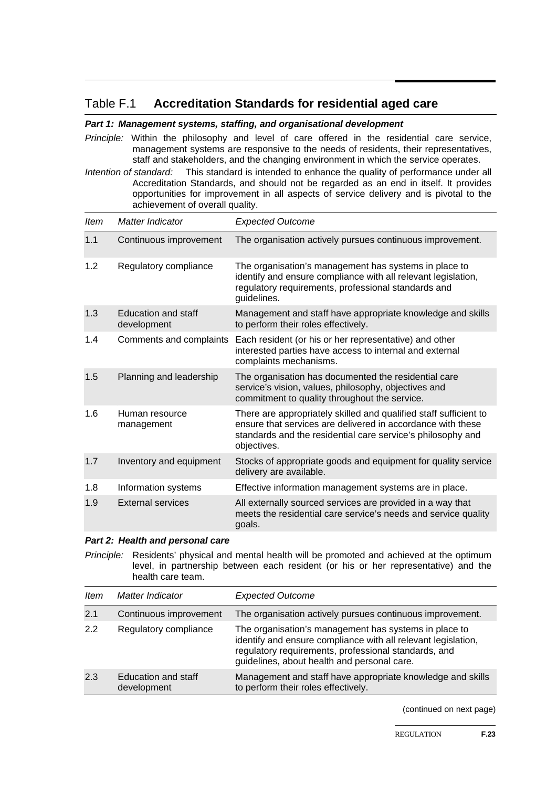#### Table F.1 **Accreditation Standards for residential aged care**

#### *Part 1: Management systems, staffing, and organisational development*

*Principle:* Within the philosophy and level of care offered in the residential care service, management systems are responsive to the needs of residents, their representatives, staff and stakeholders, and the changing environment in which the service operates.

*Intention of standard:* This standard is intended to enhance the quality of performance under all Accreditation Standards, and should not be regarded as an end in itself. It provides opportunities for improvement in all aspects of service delivery and is pivotal to the achievement of overall quality.

| <b>Item</b> | Matter Indicator                   | <b>Expected Outcome</b>                                                                                                                                                                                        |
|-------------|------------------------------------|----------------------------------------------------------------------------------------------------------------------------------------------------------------------------------------------------------------|
| 1.1         | Continuous improvement             | The organisation actively pursues continuous improvement.                                                                                                                                                      |
| 1.2         | Regulatory compliance              | The organisation's management has systems in place to<br>identify and ensure compliance with all relevant legislation,<br>regulatory requirements, professional standards and<br>guidelines.                   |
| 1.3         | Education and staff<br>development | Management and staff have appropriate knowledge and skills<br>to perform their roles effectively.                                                                                                              |
| 1.4         | Comments and complaints            | Each resident (or his or her representative) and other<br>interested parties have access to internal and external<br>complaints mechanisms.                                                                    |
| 1.5         | Planning and leadership            | The organisation has documented the residential care<br>service's vision, values, philosophy, objectives and<br>commitment to quality throughout the service.                                                  |
| 1.6         | Human resource<br>management       | There are appropriately skilled and qualified staff sufficient to<br>ensure that services are delivered in accordance with these<br>standards and the residential care service's philosophy and<br>objectives. |
| 1.7         | Inventory and equipment            | Stocks of appropriate goods and equipment for quality service<br>delivery are available.                                                                                                                       |
| 1.8         | Information systems                | Effective information management systems are in place.                                                                                                                                                         |
| 1.9         | <b>External services</b>           | All externally sourced services are provided in a way that<br>meets the residential care service's needs and service quality<br>goals.                                                                         |

#### *Part 2: Health and personal care*

*Principle:*Residents' physical and mental health will be promoted and achieved at the optimum level, in partnership between each resident (or his or her representative) and the health care team.

| Item | Matter Indicator                   | <b>Expected Outcome</b>                                                                                                                                                                                                       |
|------|------------------------------------|-------------------------------------------------------------------------------------------------------------------------------------------------------------------------------------------------------------------------------|
| 2.1  | Continuous improvement             | The organisation actively pursues continuous improvement.                                                                                                                                                                     |
| 2.2  | Regulatory compliance              | The organisation's management has systems in place to<br>identify and ensure compliance with all relevant legislation,<br>regulatory requirements, professional standards, and<br>guidelines, about health and personal care. |
| 2.3  | Education and staff<br>development | Management and staff have appropriate knowledge and skills<br>to perform their roles effectively.                                                                                                                             |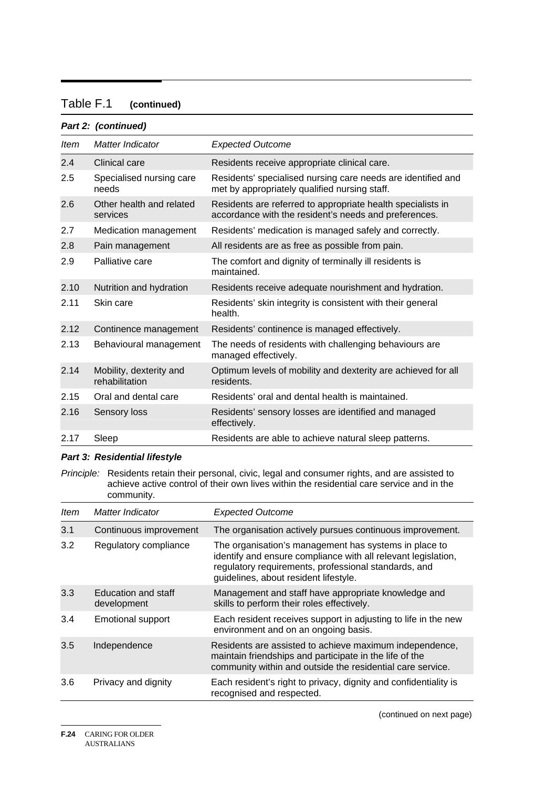#### Table F.1 **(continued)**

#### *Part 2: (continued) Item Matter Indicator Expected Outcome*  2.4 Clinical care Residents receive appropriate clinical care. 2.5 Specialised nursing care needs Residents' specialised nursing care needs are identified and met by appropriately qualified nursing staff. 2.6 Other health and related services Residents are referred to appropriate health specialists in accordance with the resident's needs and preferences. 2.7 Medication management Residents' medication is managed safely and correctly. 2.8 Pain management All residents are as free as possible from pain. 2.9 Palliative care The comfort and dignity of terminally ill residents is maintained. 2.10 Nutrition and hydration Residents receive adequate nourishment and hydration. 2.11 Skin care Residents' skin integrity is consistent with their general health. 2.12 Continence management Residents' continence is managed effectively. 2.13 Behavioural management The needs of residents with challenging behaviours are managed effectively. 2.14 Mobility, dexterity and rehabilitation Optimum levels of mobility and dexterity are achieved for all residents. 2.15 Oral and dental care Residents' oral and dental health is maintained. 2.16 Sensory loss Residents' sensory losses are identified and managed effectively. 2.17 Sleep Residents are able to achieve natural sleep patterns.

#### *Part 3: Residential lifestyle*

*Principle:* Residents retain their personal, civic, legal and consumer rights, and are assisted to achieve active control of their own lives within the residential care service and in the community.

| ltem | Matter Indicator                   | <b>Expected Outcome</b>                                                                                                                                                                                                 |
|------|------------------------------------|-------------------------------------------------------------------------------------------------------------------------------------------------------------------------------------------------------------------------|
| 3.1  | Continuous improvement             | The organisation actively pursues continuous improvement.                                                                                                                                                               |
| 3.2  | Regulatory compliance              | The organisation's management has systems in place to<br>identify and ensure compliance with all relevant legislation,<br>regulatory requirements, professional standards, and<br>guidelines, about resident lifestyle. |
| 3.3  | Education and staff<br>development | Management and staff have appropriate knowledge and<br>skills to perform their roles effectively.                                                                                                                       |
| 3.4  | <b>Emotional support</b>           | Each resident receives support in adjusting to life in the new<br>environment and on an ongoing basis.                                                                                                                  |
| 3.5  | Independence                       | Residents are assisted to achieve maximum independence,<br>maintain friendships and participate in the life of the<br>community within and outside the residential care service.                                        |
| 3.6  | Privacy and dignity                | Each resident's right to privacy, dignity and confidentiality is<br>recognised and respected.                                                                                                                           |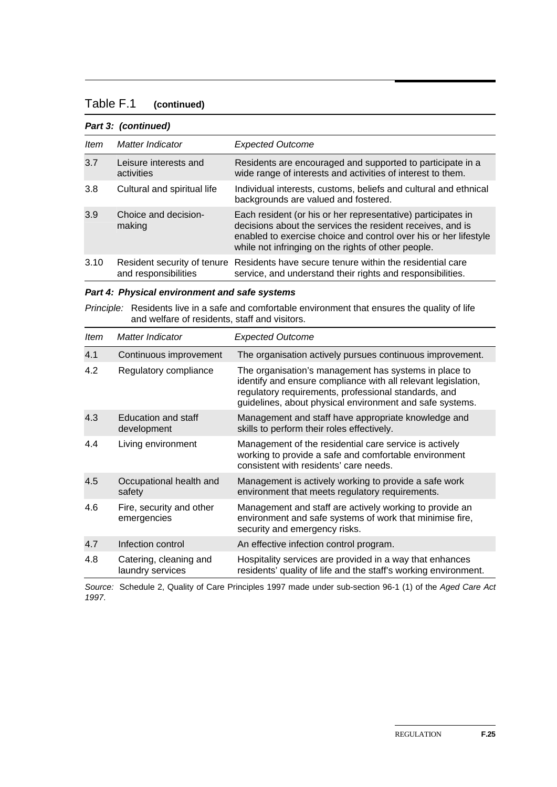#### Table F.1 **(continued)**

#### *Part 3: (continued)*

| <b>Item</b> | Matter Indicator                    | <b>Expected Outcome</b>                                                                                                                                                                                                                               |
|-------------|-------------------------------------|-------------------------------------------------------------------------------------------------------------------------------------------------------------------------------------------------------------------------------------------------------|
| 3.7         | Leisure interests and<br>activities | Residents are encouraged and supported to participate in a<br>wide range of interests and activities of interest to them.                                                                                                                             |
| 3.8         | Cultural and spiritual life         | Individual interests, customs, beliefs and cultural and ethnical<br>backgrounds are valued and fostered.                                                                                                                                              |
| 3.9         | Choice and decision-<br>making      | Each resident (or his or her representative) participates in<br>decisions about the services the resident receives, and is<br>enabled to exercise choice and control over his or her lifestyle<br>while not infringing on the rights of other people. |
| 3.10        | and responsibilities                | Resident security of tenure Residents have secure tenure within the residential care<br>service, and understand their rights and responsibilities.                                                                                                    |

|  |  |  | Part 4: Physical environment and safe systems |  |  |  |
|--|--|--|-----------------------------------------------|--|--|--|
|--|--|--|-----------------------------------------------|--|--|--|

*Principle:* Residents live in a safe and comfortable environment that ensures the quality of life and welfare of residents, staff and visitors.

| <b>Item</b> | Matter Indicator                           | <b>Expected Outcome</b>                                                                                                                                                                                                                    |
|-------------|--------------------------------------------|--------------------------------------------------------------------------------------------------------------------------------------------------------------------------------------------------------------------------------------------|
| 4.1         | Continuous improvement                     | The organisation actively pursues continuous improvement.                                                                                                                                                                                  |
| 4.2         | Regulatory compliance                      | The organisation's management has systems in place to<br>identify and ensure compliance with all relevant legislation,<br>regulatory requirements, professional standards, and<br>guidelines, about physical environment and safe systems. |
| 4.3         | Education and staff<br>development         | Management and staff have appropriate knowledge and<br>skills to perform their roles effectively.                                                                                                                                          |
| 4.4         | Living environment                         | Management of the residential care service is actively<br>working to provide a safe and comfortable environment<br>consistent with residents' care needs.                                                                                  |
| 4.5         | Occupational health and<br>safety          | Management is actively working to provide a safe work<br>environment that meets regulatory requirements.                                                                                                                                   |
| 4.6         | Fire, security and other<br>emergencies    | Management and staff are actively working to provide an<br>environment and safe systems of work that minimise fire,<br>security and emergency risks.                                                                                       |
| 4.7         | Infection control                          | An effective infection control program.                                                                                                                                                                                                    |
| 4.8         | Catering, cleaning and<br>laundry services | Hospitality services are provided in a way that enhances<br>residents' quality of life and the staff's working environment.                                                                                                                |

*Source:* Schedule 2, Quality of Care Principles 1997 made under sub-section 96-1 (1) of the *Aged Care Act 1997*.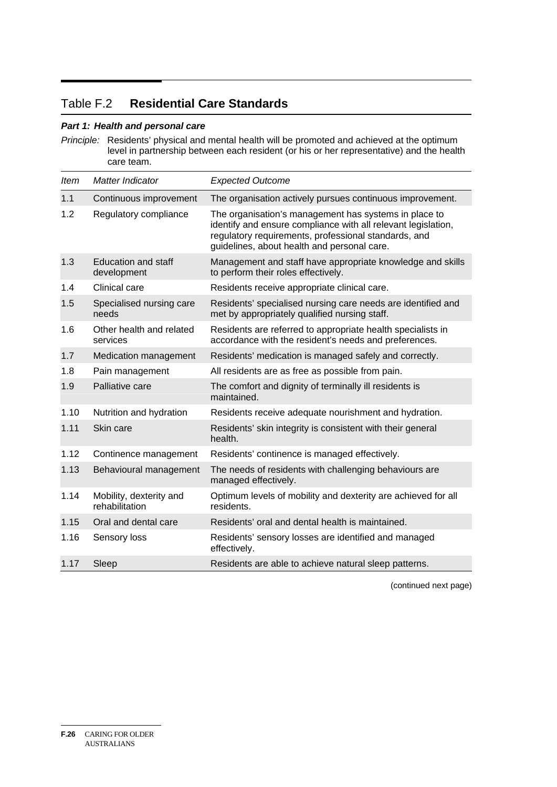### Table F.2 **Residential Care Standards**

#### *Part 1: Health and personal care*

*Principle:* Residents' physical and mental health will be promoted and achieved at the optimum level in partnership between each resident (or his or her representative) and the health care team.

| <b>Item</b> | Matter Indicator                          | <b>Expected Outcome</b>                                                                                                                                                                                                       |
|-------------|-------------------------------------------|-------------------------------------------------------------------------------------------------------------------------------------------------------------------------------------------------------------------------------|
| 1.1         | Continuous improvement                    | The organisation actively pursues continuous improvement.                                                                                                                                                                     |
| 1.2         | Regulatory compliance                     | The organisation's management has systems in place to<br>identify and ensure compliance with all relevant legislation,<br>regulatory requirements, professional standards, and<br>guidelines, about health and personal care. |
| 1.3         | <b>Education and staff</b><br>development | Management and staff have appropriate knowledge and skills<br>to perform their roles effectively.                                                                                                                             |
| 1.4         | Clinical care                             | Residents receive appropriate clinical care.                                                                                                                                                                                  |
| 1.5         | Specialised nursing care<br>needs         | Residents' specialised nursing care needs are identified and<br>met by appropriately qualified nursing staff.                                                                                                                 |
| 1.6         | Other health and related<br>services      | Residents are referred to appropriate health specialists in<br>accordance with the resident's needs and preferences.                                                                                                          |
| 1.7         | Medication management                     | Residents' medication is managed safely and correctly.                                                                                                                                                                        |
| 1.8         | Pain management                           | All residents are as free as possible from pain.                                                                                                                                                                              |
| 1.9         | Palliative care                           | The comfort and dignity of terminally ill residents is<br>maintained.                                                                                                                                                         |
| 1.10        | Nutrition and hydration                   | Residents receive adequate nourishment and hydration.                                                                                                                                                                         |
| 1.11        | Skin care                                 | Residents' skin integrity is consistent with their general<br>health.                                                                                                                                                         |
| 1.12        | Continence management                     | Residents' continence is managed effectively.                                                                                                                                                                                 |
| 1.13        | Behavioural management                    | The needs of residents with challenging behaviours are<br>managed effectively.                                                                                                                                                |
| 1.14        | Mobility, dexterity and<br>rehabilitation | Optimum levels of mobility and dexterity are achieved for all<br>residents.                                                                                                                                                   |
| 1.15        | Oral and dental care                      | Residents' oral and dental health is maintained.                                                                                                                                                                              |
| 1.16        | Sensory loss                              | Residents' sensory losses are identified and managed<br>effectively.                                                                                                                                                          |
| 1.17        | Sleep                                     | Residents are able to achieve natural sleep patterns.                                                                                                                                                                         |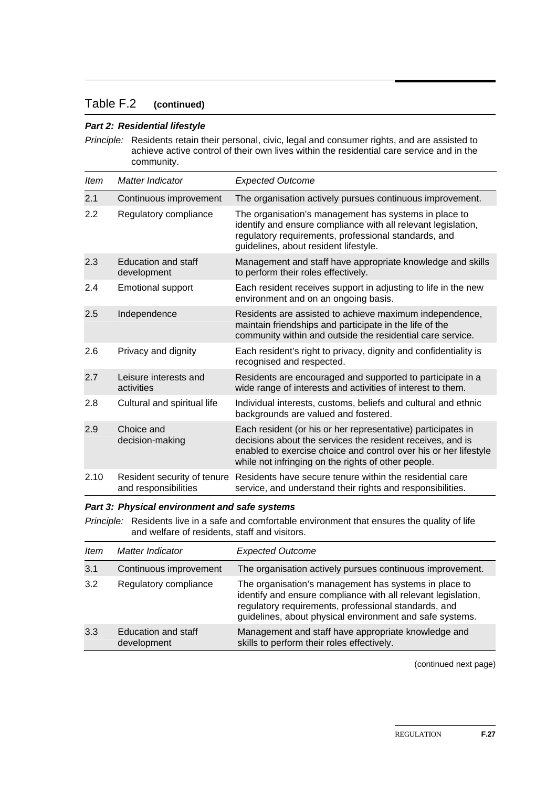#### Table F.2 **(continued)**

#### *Part 2: Residential lifestyle*

*Principle:* Residents retain their personal, civic, legal and consumer rights, and are assisted to achieve active control of their own lives within the residential care service and in the community.

| <b>Item</b> | <b>Matter Indicator</b>                             | <b>Expected Outcome</b>                                                                                                                                                                                                                               |
|-------------|-----------------------------------------------------|-------------------------------------------------------------------------------------------------------------------------------------------------------------------------------------------------------------------------------------------------------|
| 2.1         | Continuous improvement                              | The organisation actively pursues continuous improvement.                                                                                                                                                                                             |
| 2.2         | Regulatory compliance                               | The organisation's management has systems in place to<br>identify and ensure compliance with all relevant legislation,<br>regulatory requirements, professional standards, and<br>guidelines, about resident lifestyle.                               |
| 2.3         | <b>Education and staff</b><br>development           | Management and staff have appropriate knowledge and skills<br>to perform their roles effectively.                                                                                                                                                     |
| 2.4         | <b>Emotional support</b>                            | Each resident receives support in adjusting to life in the new<br>environment and on an ongoing basis.                                                                                                                                                |
| 2.5         | Independence                                        | Residents are assisted to achieve maximum independence,<br>maintain friendships and participate in the life of the<br>community within and outside the residential care service.                                                                      |
| 2.6         | Privacy and dignity                                 | Each resident's right to privacy, dignity and confidentiality is<br>recognised and respected.                                                                                                                                                         |
| 2.7         | Leisure interests and<br>activities                 | Residents are encouraged and supported to participate in a<br>wide range of interests and activities of interest to them.                                                                                                                             |
| 2.8         | Cultural and spiritual life                         | Individual interests, customs, beliefs and cultural and ethnic<br>backgrounds are valued and fostered.                                                                                                                                                |
| 2.9         | Choice and<br>decision-making                       | Each resident (or his or her representative) participates in<br>decisions about the services the resident receives, and is<br>enabled to exercise choice and control over his or her lifestyle<br>while not infringing on the rights of other people. |
| 2.10        | Resident security of tenure<br>and responsibilities | Residents have secure tenure within the residential care<br>service, and understand their rights and responsibilities.                                                                                                                                |

*Part 3: Physical environment and safe systems* 

*Principle:* Residents live in a safe and comfortable environment that ensures the quality of life and welfare of residents, staff and visitors.

| <b>Item</b> | Matter Indicator                   | <b>Expected Outcome</b>                                                                                                                                                                                                                    |
|-------------|------------------------------------|--------------------------------------------------------------------------------------------------------------------------------------------------------------------------------------------------------------------------------------------|
| 3.1         | Continuous improvement             | The organisation actively pursues continuous improvement.                                                                                                                                                                                  |
| 3.2         | Regulatory compliance              | The organisation's management has systems in place to<br>identify and ensure compliance with all relevant legislation,<br>regulatory requirements, professional standards, and<br>guidelines, about physical environment and safe systems. |
| 3.3         | Education and staff<br>development | Management and staff have appropriate knowledge and<br>skills to perform their roles effectively.                                                                                                                                          |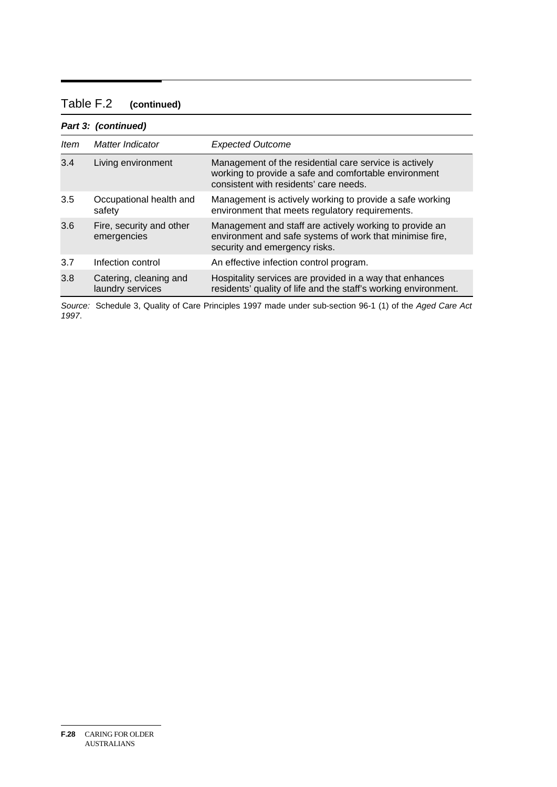### Table F.2 **(continued)**

#### *Part 3: (continued)*

| Item | Matter Indicator                           | <b>Expected Outcome</b>                                                                                                                                   |
|------|--------------------------------------------|-----------------------------------------------------------------------------------------------------------------------------------------------------------|
| 3.4  | Living environment                         | Management of the residential care service is actively<br>working to provide a safe and comfortable environment<br>consistent with residents' care needs. |
| 3.5  | Occupational health and<br>safety          | Management is actively working to provide a safe working<br>environment that meets regulatory requirements.                                               |
| 3.6  | Fire, security and other<br>emergencies    | Management and staff are actively working to provide an<br>environment and safe systems of work that minimise fire,<br>security and emergency risks.      |
| 3.7  | Infection control                          | An effective infection control program.                                                                                                                   |
| 3.8  | Catering, cleaning and<br>laundry services | Hospitality services are provided in a way that enhances<br>residents' quality of life and the staff's working environment.                               |

*Source:* Schedule 3, Quality of Care Principles 1997 made under sub-section 96-1 (1) of the *Aged Care Act 1997*.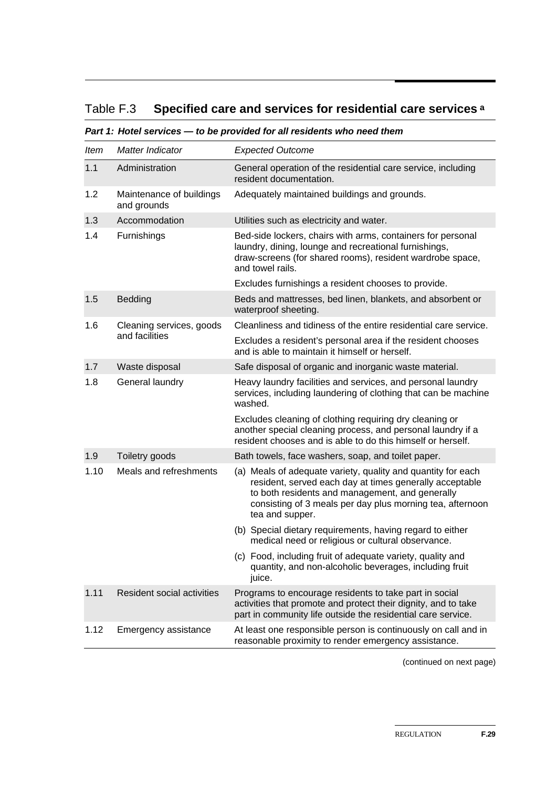## Table F.3 **Specified care and services for residential care services a**

*Part 1: Hotel services — to be provided for all residents who need them* 

| Item | Matter Indicator                        | <b>Expected Outcome</b>                                                                                                                                                                                                                                    |
|------|-----------------------------------------|------------------------------------------------------------------------------------------------------------------------------------------------------------------------------------------------------------------------------------------------------------|
| 1.1  | Administration                          | General operation of the residential care service, including<br>resident documentation.                                                                                                                                                                    |
| 1.2  | Maintenance of buildings<br>and grounds | Adequately maintained buildings and grounds.                                                                                                                                                                                                               |
| 1.3  | Accommodation                           | Utilities such as electricity and water.                                                                                                                                                                                                                   |
| 1.4  | Furnishings                             | Bed-side lockers, chairs with arms, containers for personal<br>laundry, dining, lounge and recreational furnishings,<br>draw-screens (for shared rooms), resident wardrobe space,<br>and towel rails.                                                      |
|      |                                         | Excludes furnishings a resident chooses to provide.                                                                                                                                                                                                        |
| 1.5  | <b>Bedding</b>                          | Beds and mattresses, bed linen, blankets, and absorbent or<br>waterproof sheeting.                                                                                                                                                                         |
| 1.6  | Cleaning services, goods                | Cleanliness and tidiness of the entire residential care service.                                                                                                                                                                                           |
|      | and facilities                          | Excludes a resident's personal area if the resident chooses<br>and is able to maintain it himself or herself.                                                                                                                                              |
| 1.7  | Waste disposal                          | Safe disposal of organic and inorganic waste material.                                                                                                                                                                                                     |
| 1.8  | General laundry                         | Heavy laundry facilities and services, and personal laundry<br>services, including laundering of clothing that can be machine<br>washed.                                                                                                                   |
|      |                                         | Excludes cleaning of clothing requiring dry cleaning or<br>another special cleaning process, and personal laundry if a<br>resident chooses and is able to do this himself or herself.                                                                      |
| 1.9  | Toiletry goods                          | Bath towels, face washers, soap, and toilet paper.                                                                                                                                                                                                         |
| 1.10 | Meals and refreshments                  | (a) Meals of adequate variety, quality and quantity for each<br>resident, served each day at times generally acceptable<br>to both residents and management, and generally<br>consisting of 3 meals per day plus morning tea, afternoon<br>tea and supper. |
|      |                                         | (b) Special dietary requirements, having regard to either<br>medical need or religious or cultural observance.                                                                                                                                             |
|      |                                         | (c) Food, including fruit of adequate variety, quality and<br>quantity, and non-alcoholic beverages, including fruit<br>juice.                                                                                                                             |
| 1.11 | <b>Resident social activities</b>       | Programs to encourage residents to take part in social<br>activities that promote and protect their dignity, and to take<br>part in community life outside the residential care service.                                                                   |
| 1.12 | Emergency assistance                    | At least one responsible person is continuously on call and in<br>reasonable proximity to render emergency assistance.                                                                                                                                     |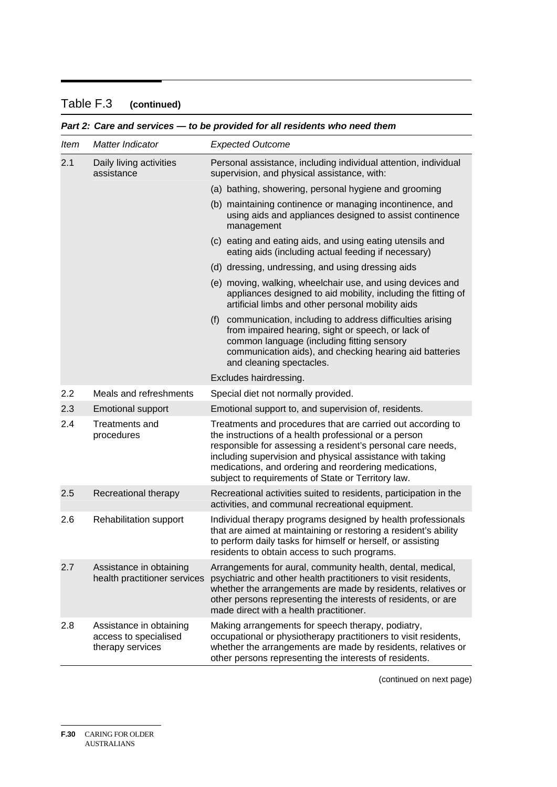#### Table F.3 Table F.3 **(continued)**

| Item | Matter Indicator                                                     | <b>Expected Outcome</b>                                                                                                                                                                                                                                                                                                                                         |
|------|----------------------------------------------------------------------|-----------------------------------------------------------------------------------------------------------------------------------------------------------------------------------------------------------------------------------------------------------------------------------------------------------------------------------------------------------------|
| 2.1  | Daily living activities<br>assistance                                | Personal assistance, including individual attention, individual<br>supervision, and physical assistance, with:                                                                                                                                                                                                                                                  |
|      |                                                                      | (a) bathing, showering, personal hygiene and grooming                                                                                                                                                                                                                                                                                                           |
|      |                                                                      | (b) maintaining continence or managing incontinence, and<br>using aids and appliances designed to assist continence<br>management                                                                                                                                                                                                                               |
|      |                                                                      | (c) eating and eating aids, and using eating utensils and<br>eating aids (including actual feeding if necessary)                                                                                                                                                                                                                                                |
|      |                                                                      | (d) dressing, undressing, and using dressing aids                                                                                                                                                                                                                                                                                                               |
|      |                                                                      | (e) moving, walking, wheelchair use, and using devices and<br>appliances designed to aid mobility, including the fitting of<br>artificial limbs and other personal mobility aids                                                                                                                                                                                |
|      |                                                                      | communication, including to address difficulties arising<br>(f)<br>from impaired hearing, sight or speech, or lack of<br>common language (including fitting sensory<br>communication aids), and checking hearing aid batteries<br>and cleaning spectacles.                                                                                                      |
|      |                                                                      | Excludes hairdressing.                                                                                                                                                                                                                                                                                                                                          |
| 2.2  | Meals and refreshments                                               | Special diet not normally provided.                                                                                                                                                                                                                                                                                                                             |
| 2.3  | <b>Emotional support</b>                                             | Emotional support to, and supervision of, residents.                                                                                                                                                                                                                                                                                                            |
| 2.4  | <b>Treatments and</b><br>procedures                                  | Treatments and procedures that are carried out according to<br>the instructions of a health professional or a person<br>responsible for assessing a resident's personal care needs,<br>including supervision and physical assistance with taking<br>medications, and ordering and reordering medications,<br>subject to requirements of State or Territory law. |
| 2.5  | Recreational therapy                                                 | Recreational activities suited to residents, participation in the<br>activities, and communal recreational equipment.                                                                                                                                                                                                                                           |
| 2.6  | Rehabilitation support                                               | Individual therapy programs designed by health professionals<br>that are aimed at maintaining or restoring a resident's ability<br>to perform daily tasks for himself or herself, or assisting<br>residents to obtain access to such programs.                                                                                                                  |
| 2.7  | Assistance in obtaining<br>health practitioner services              | Arrangements for aural, community health, dental, medical,<br>psychiatric and other health practitioners to visit residents,<br>whether the arrangements are made by residents, relatives or<br>other persons representing the interests of residents, or are<br>made direct with a health practitioner.                                                        |
| 2.8  | Assistance in obtaining<br>access to specialised<br>therapy services | Making arrangements for speech therapy, podiatry,<br>occupational or physiotherapy practitioners to visit residents,<br>whether the arrangements are made by residents, relatives or<br>other persons representing the interests of residents.                                                                                                                  |

### *Part 2: Care and services — to be provided for all residents who need them*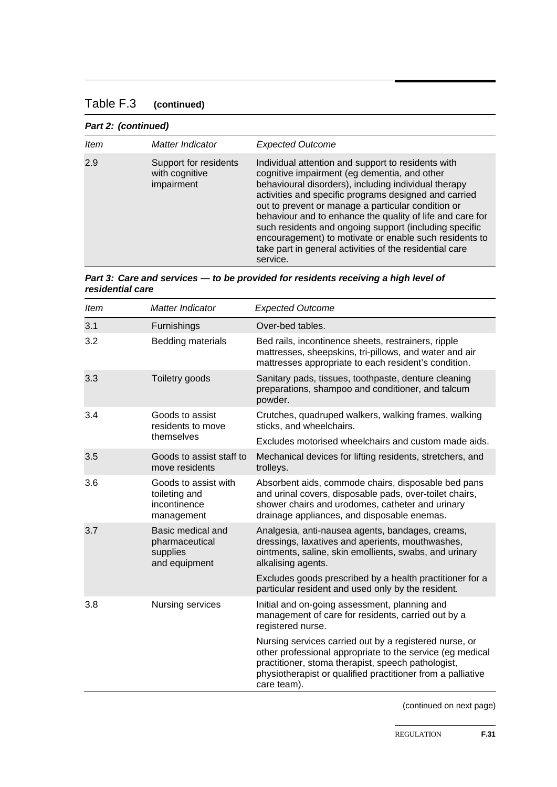### Table F.3 **(continued)**

#### *Part 2: (continued)*

| <b>Item</b> | Matter Indicator                                      | <b>Expected Outcome</b>                                                                                                                                                                                                                                                                                                                                                                                                                                                                                                           |
|-------------|-------------------------------------------------------|-----------------------------------------------------------------------------------------------------------------------------------------------------------------------------------------------------------------------------------------------------------------------------------------------------------------------------------------------------------------------------------------------------------------------------------------------------------------------------------------------------------------------------------|
| 2.9         | Support for residents<br>with cognitive<br>impairment | Individual attention and support to residents with<br>cognitive impairment (eg dementia, and other<br>behavioural disorders), including individual therapy<br>activities and specific programs designed and carried<br>out to prevent or manage a particular condition or<br>behaviour and to enhance the quality of life and care for<br>such residents and ongoing support (including specific<br>encouragement) to motivate or enable such residents to<br>take part in general activities of the residential care<br>service. |

#### *Part 3: Care and services — to be provided for residents receiving a high level of residential care*

| <b>Item</b> | Matter Indicator                                                    | <b>Expected Outcome</b>                                                                                                                                                                                                                                 |
|-------------|---------------------------------------------------------------------|---------------------------------------------------------------------------------------------------------------------------------------------------------------------------------------------------------------------------------------------------------|
| 3.1         | Furnishings                                                         | Over-bed tables.                                                                                                                                                                                                                                        |
| 3.2         | <b>Bedding materials</b>                                            | Bed rails, incontinence sheets, restrainers, ripple<br>mattresses, sheepskins, tri-pillows, and water and air<br>mattresses appropriate to each resident's condition.                                                                                   |
| 3.3         | Toiletry goods                                                      | Sanitary pads, tissues, toothpaste, denture cleaning<br>preparations, shampoo and conditioner, and talcum<br>powder.                                                                                                                                    |
| 3.4         | Goods to assist<br>residents to move                                | Crutches, quadruped walkers, walking frames, walking<br>sticks, and wheelchairs.                                                                                                                                                                        |
|             | themselves                                                          | Excludes motorised wheelchairs and custom made aids.                                                                                                                                                                                                    |
| 3.5         | Goods to assist staff to<br>move residents                          | Mechanical devices for lifting residents, stretchers, and<br>trolleys.                                                                                                                                                                                  |
| 3.6         | Goods to assist with<br>toileting and<br>incontinence<br>management | Absorbent aids, commode chairs, disposable bed pans<br>and urinal covers, disposable pads, over-toilet chairs,<br>shower chairs and urodomes, catheter and urinary<br>drainage appliances, and disposable enemas.                                       |
| 3.7         | Basic medical and<br>pharmaceutical<br>supplies<br>and equipment    | Analgesia, anti-nausea agents, bandages, creams,<br>dressings, laxatives and aperients, mouthwashes,<br>ointments, saline, skin emollients, swabs, and urinary<br>alkalising agents.                                                                    |
|             |                                                                     | Excludes goods prescribed by a health practitioner for a<br>particular resident and used only by the resident.                                                                                                                                          |
| 3.8         | Nursing services                                                    | Initial and on-going assessment, planning and<br>management of care for residents, carried out by a<br>registered nurse.                                                                                                                                |
|             |                                                                     | Nursing services carried out by a registered nurse, or<br>other professional appropriate to the service (eg medical<br>practitioner, stoma therapist, speech pathologist,<br>physiotherapist or qualified practitioner from a palliative<br>care team). |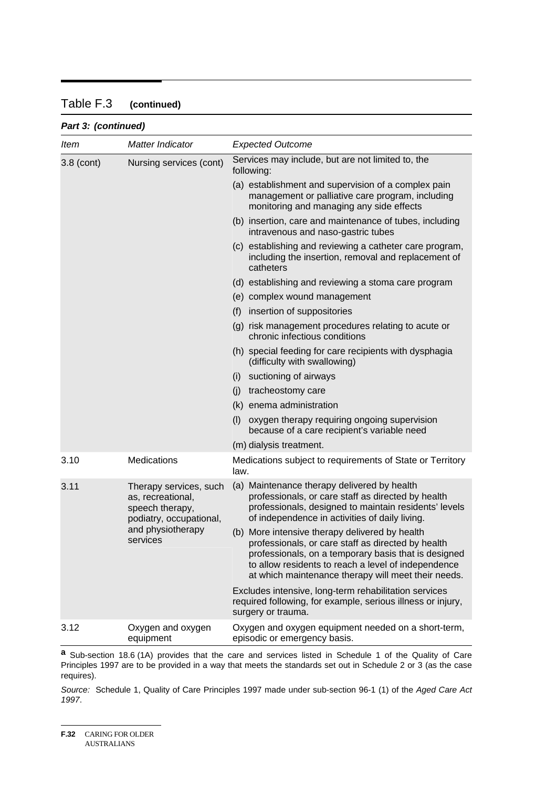#### Table F.3 **(continued)**

#### *Part 3: (continued)*

| Item         | Matter Indicator                                                                                                           | <b>Expected Outcome</b>                                                                                                                                                                                                                                                    |
|--------------|----------------------------------------------------------------------------------------------------------------------------|----------------------------------------------------------------------------------------------------------------------------------------------------------------------------------------------------------------------------------------------------------------------------|
| $3.8$ (cont) | Nursing services (cont)                                                                                                    | Services may include, but are not limited to, the<br>following:                                                                                                                                                                                                            |
|              |                                                                                                                            | (a) establishment and supervision of a complex pain<br>management or palliative care program, including<br>monitoring and managing any side effects                                                                                                                        |
|              |                                                                                                                            | (b) insertion, care and maintenance of tubes, including<br>intravenous and naso-gastric tubes                                                                                                                                                                              |
|              |                                                                                                                            | (c) establishing and reviewing a catheter care program,<br>including the insertion, removal and replacement of<br>catheters                                                                                                                                                |
|              |                                                                                                                            | (d) establishing and reviewing a stoma care program                                                                                                                                                                                                                        |
|              |                                                                                                                            | (e) complex wound management                                                                                                                                                                                                                                               |
|              |                                                                                                                            | insertion of suppositories<br>(f)                                                                                                                                                                                                                                          |
|              |                                                                                                                            | (g) risk management procedures relating to acute or<br>chronic infectious conditions                                                                                                                                                                                       |
|              |                                                                                                                            | (h) special feeding for care recipients with dysphagia<br>(difficulty with swallowing)                                                                                                                                                                                     |
|              |                                                                                                                            | suctioning of airways<br>(i)                                                                                                                                                                                                                                               |
|              |                                                                                                                            | (i)<br>tracheostomy care                                                                                                                                                                                                                                                   |
|              |                                                                                                                            | (k) enema administration                                                                                                                                                                                                                                                   |
|              |                                                                                                                            | (1)<br>oxygen therapy requiring ongoing supervision<br>because of a care recipient's variable need                                                                                                                                                                         |
|              |                                                                                                                            | (m) dialysis treatment.                                                                                                                                                                                                                                                    |
| 3.10         | <b>Medications</b>                                                                                                         | Medications subject to requirements of State or Territory<br>law.                                                                                                                                                                                                          |
| 3.11         | Therapy services, such<br>as, recreational,<br>speech therapy,<br>podiatry, occupational,<br>and physiotherapy<br>services | (a) Maintenance therapy delivered by health<br>professionals, or care staff as directed by health<br>professionals, designed to maintain residents' levels<br>of independence in activities of daily living.                                                               |
|              |                                                                                                                            | (b) More intensive therapy delivered by health<br>professionals, or care staff as directed by health<br>professionals, on a temporary basis that is designed<br>to allow residents to reach a level of independence<br>at which maintenance therapy will meet their needs. |
|              |                                                                                                                            | Excludes intensive, long-term rehabilitation services<br>required following, for example, serious illness or injury,<br>surgery or trauma.                                                                                                                                 |
| 3.12         | Oxygen and oxygen<br>equipment                                                                                             | Oxygen and oxygen equipment needed on a short-term,<br>episodic or emergency basis.                                                                                                                                                                                        |

**a** Sub-section 18.6 (1A) provides that the care and services listed in Schedule 1 of the Quality of Care Principles 1997 are to be provided in a way that meets the standards set out in Schedule 2 or 3 (as the case requires).

*Source:* Schedule 1, Quality of Care Principles 1997 made under sub-section 96-1 (1) of the *Aged Care Act 1997*.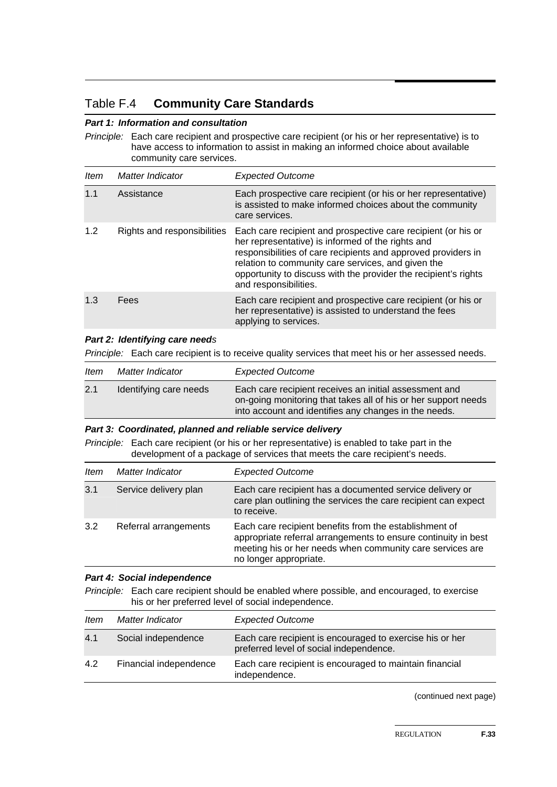### Table F.4 **Community Care Standards**

#### *Part 1: Information and consultation*

*Principle:* Each care recipient and prospective care recipient (or his or her representative) is to have access to information to assist in making an informed choice about available community care services.

| <b>Item</b> | Matter Indicator            | <b>Expected Outcome</b>                                                                                                                                                                                                                                                                                                               |
|-------------|-----------------------------|---------------------------------------------------------------------------------------------------------------------------------------------------------------------------------------------------------------------------------------------------------------------------------------------------------------------------------------|
| 1.1         | Assistance                  | Each prospective care recipient (or his or her representative)<br>is assisted to make informed choices about the community<br>care services.                                                                                                                                                                                          |
| 1.2         | Rights and responsibilities | Each care recipient and prospective care recipient (or his or<br>her representative) is informed of the rights and<br>responsibilities of care recipients and approved providers in<br>relation to community care services, and given the<br>opportunity to discuss with the provider the recipient's rights<br>and responsibilities. |
| 1.3         | Fees                        | Each care recipient and prospective care recipient (or his or<br>her representative) is assisted to understand the fees<br>applying to services.                                                                                                                                                                                      |

#### *Part 2: Identifying care needs*

*Principle:* Each care recipient is to receive quality services that meet his or her assessed needs.

| ltem | Matter Indicator       | <b>Expected Outcome</b>                                                                                                                                                           |
|------|------------------------|-----------------------------------------------------------------------------------------------------------------------------------------------------------------------------------|
| 2.1  | Identifying care needs | Each care recipient receives an initial assessment and<br>on-going monitoring that takes all of his or her support needs<br>into account and identifies any changes in the needs. |

#### *Part 3: Coordinated, planned and reliable service delivery*

*Principle:* Each care recipient (or his or her representative) is enabled to take part in the development of a package of services that meets the care recipient's needs.

| ltem | Matter Indicator      | <b>Expected Outcome</b>                                                                                                                                                                                         |
|------|-----------------------|-----------------------------------------------------------------------------------------------------------------------------------------------------------------------------------------------------------------|
| 3.1  | Service delivery plan | Each care recipient has a documented service delivery or<br>care plan outlining the services the care recipient can expect<br>to receive.                                                                       |
| 3.2  | Referral arrangements | Each care recipient benefits from the establishment of<br>appropriate referral arrangements to ensure continuity in best<br>meeting his or her needs when community care services are<br>no longer appropriate. |

#### *Part 4: Social independence*

*Principle:* Each care recipient should be enabled where possible, and encouraged, to exercise his or her preferred level of social independence.

| Matter Indicator       | <b>Expected Outcome</b>                                                                             |
|------------------------|-----------------------------------------------------------------------------------------------------|
| Social independence    | Each care recipient is encouraged to exercise his or her<br>preferred level of social independence. |
| Financial independence | Each care recipient is encouraged to maintain financial<br>independence.                            |
|                        |                                                                                                     |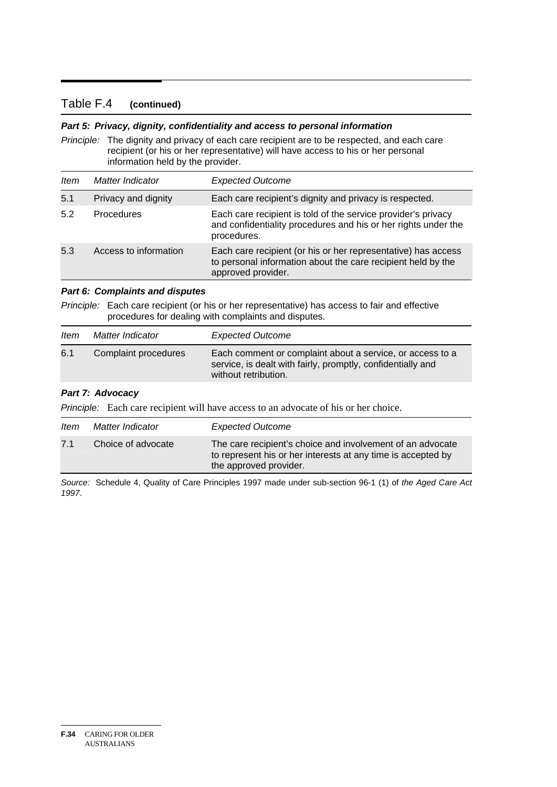#### Table F.4 **(continued)**

#### *Part 5: Privacy, dignity, confidentiality and access to personal information*

*Principle:* The dignity and privacy of each care recipient are to be respected, and each care recipient (or his or her representative) will have access to his or her personal information held by the provider.

| <b>Item</b> | Matter Indicator      | <b>Expected Outcome</b>                                                                                                                             |
|-------------|-----------------------|-----------------------------------------------------------------------------------------------------------------------------------------------------|
| 5.1         | Privacy and dignity   | Each care recipient's dignity and privacy is respected.                                                                                             |
| 5.2         | <b>Procedures</b>     | Each care recipient is told of the service provider's privacy<br>and confidentiality procedures and his or her rights under the<br>procedures.      |
| 5.3         | Access to information | Each care recipient (or his or her representative) has access<br>to personal information about the care recipient held by the<br>approved provider. |

#### *Part 6: Complaints and disputes*

*Principle:* Each care recipient (or his or her representative) has access to fair and effective procedures for dealing with complaints and disputes.

| ltem | Matter Indicator     | <b>Expected Outcome</b>                                                                                                                          |
|------|----------------------|--------------------------------------------------------------------------------------------------------------------------------------------------|
| 6.1  | Complaint procedures | Each comment or complaint about a service, or access to a<br>service, is dealt with fairly, promptly, confidentially and<br>without retribution. |

#### *Part 7: Advocacy*

*Principle:* Each care recipient will have access to an advocate of his or her choice.

| <i>Item</i> | Matter Indicator   | <b>Expected Outcome</b>                                                                                                                              |
|-------------|--------------------|------------------------------------------------------------------------------------------------------------------------------------------------------|
| 7.1         | Choice of advocate | The care recipient's choice and involvement of an advocate<br>to represent his or her interests at any time is accepted by<br>the approved provider. |

*Source:* Schedule 4, Quality of Care Principles 1997 made under sub-section 96-1 (1) of *the Aged Care Act 1997*.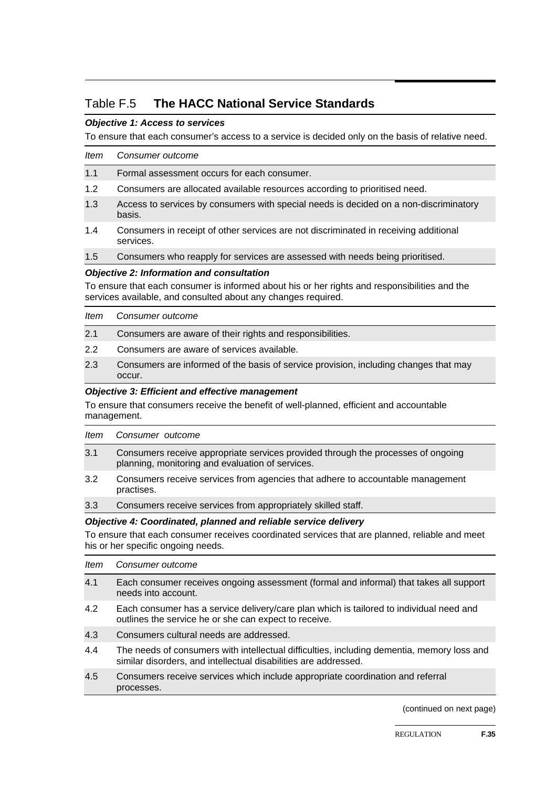### Table F.5 **The HACC National Service Standards**

#### *Objective 1: Access to services*

To ensure that each consumer's access to a service is decided only on the basis of relative need.

| ltem | Consumer outcome                                                                                  |
|------|---------------------------------------------------------------------------------------------------|
| 1.1  | Formal assessment occurs for each consumer.                                                       |
| 1.2  | Consumers are allocated available resources according to prioritised need.                        |
| 1.3  | Access to services by consumers with special needs is decided on a non-discriminatory<br>basis.   |
| 1.4  | Consumers in receipt of other services are not discriminated in receiving additional<br>services. |
| 1.5  | Consumers who reapply for services are assessed with needs being prioritised.                     |
|      | <b>Objective 2: Information and consultation</b>                                                  |

To ensure that each consumer is informed about his or her rights and responsibilities and the services available, and consulted about any changes required.

| ltem          | Consumer outcome                                                                               |
|---------------|------------------------------------------------------------------------------------------------|
| 2.1           | Consumers are aware of their rights and responsibilities.                                      |
| $2.2^{\circ}$ | Consumers are aware of services available.                                                     |
| 2.3           | Consumers are informed of the basis of service provision, including changes that may<br>occur. |

#### *Objective 3: Efficient and effective management*

To ensure that consumers receive the benefit of well-planned, efficient and accountable management.

| ltem | Consumer outcome                                                                                                                     |
|------|--------------------------------------------------------------------------------------------------------------------------------------|
| 3.1  | Consumers receive appropriate services provided through the processes of ongoing<br>planning, monitoring and evaluation of services. |
| 3.2  | Consumers receive services from agencies that adhere to accountable management<br>practises.                                         |

3.3 Consumers receive services from appropriately skilled staff.

#### *Objective 4: Coordinated, planned and reliable service delivery*

To ensure that each consumer receives coordinated services that are planned, reliable and meet his or her specific ongoing needs.

- *Item Consumer outcome*
- 4.1 Each consumer receives ongoing assessment (formal and informal) that takes all support needs into account.
- 4.2 Each consumer has a service delivery/care plan which is tailored to individual need and outlines the service he or she can expect to receive.
- 4.3 Consumers cultural needs are addressed.
- 4.4 The needs of consumers with intellectual difficulties, including dementia, memory loss and similar disorders, and intellectual disabilities are addressed.
- 4.5 Consumers receive services which include appropriate coordination and referral processes.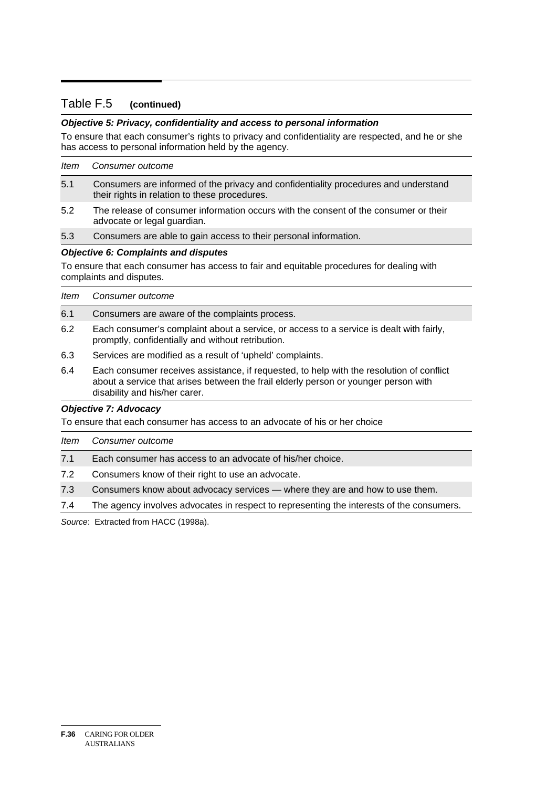#### Table F.5 **(continued)**

#### *Objective 5: Privacy, confidentiality and access to personal information*

To ensure that each consumer's rights to privacy and confidentiality are respected, and he or she has access to personal information held by the agency.

| ltem | Consumer outcome                                                                                                                     |
|------|--------------------------------------------------------------------------------------------------------------------------------------|
| 5.1  | Consumers are informed of the privacy and confidentiality procedures and understand<br>their rights in relation to these procedures. |
| 5.2  | The release of consumer information occurs with the consent of the consumer or their<br>advocate or legal guardian.                  |
| 5.3  | Consumers are able to gain access to their personal information.                                                                     |
|      | <b>Objective 6: Complaints and disputes</b>                                                                                          |
|      | To ensure that each consumer has access to fair and equitable procedures for dealing with<br>complaints and disputes.                |

| Item | Consumer outcome                                                                                                                             |
|------|----------------------------------------------------------------------------------------------------------------------------------------------|
| 6.1  | Consumers are aware of the complaints process.                                                                                               |
| 6.2  | Each consumer's complaint about a service, or access to a service is dealt with fairly,<br>promptly, confidentially and without retribution. |
| 6.3  | Services are modified as a result of 'upheld' complaints.                                                                                    |

6.4 Each consumer receives assistance, if requested, to help with the resolution of conflict about a service that arises between the frail elderly person or younger person with disability and his/her carer.

#### *Objective 7: Advocacy*

To ensure that each consumer has access to an advocate of his or her choice

| ltem | Consumer outcome                                                                         |
|------|------------------------------------------------------------------------------------------|
| 7.1  | Each consumer has access to an advocate of his/her choice.                               |
| 7.2  | Consumers know of their right to use an advocate.                                        |
| 7.3  | Consumers know about advocacy services — where they are and how to use them.             |
| 7.4  | The agency involves advocates in respect to representing the interests of the consumers. |

*Source*: Extracted from HACC (1998a).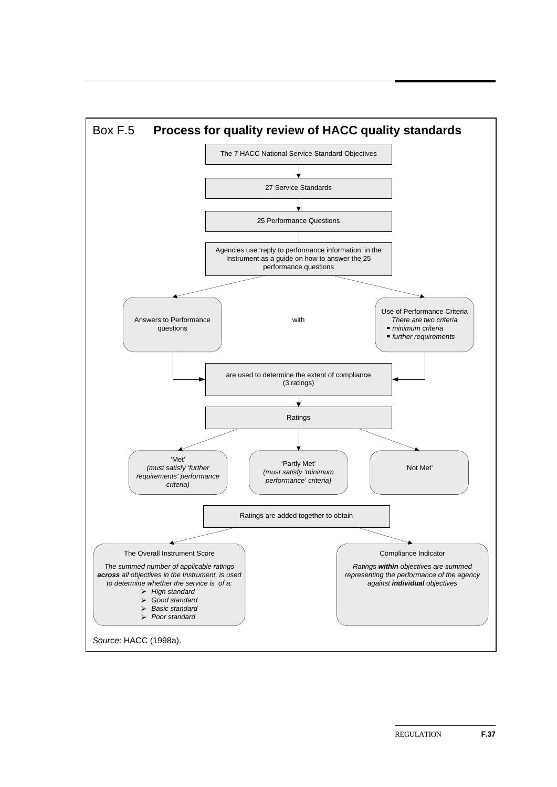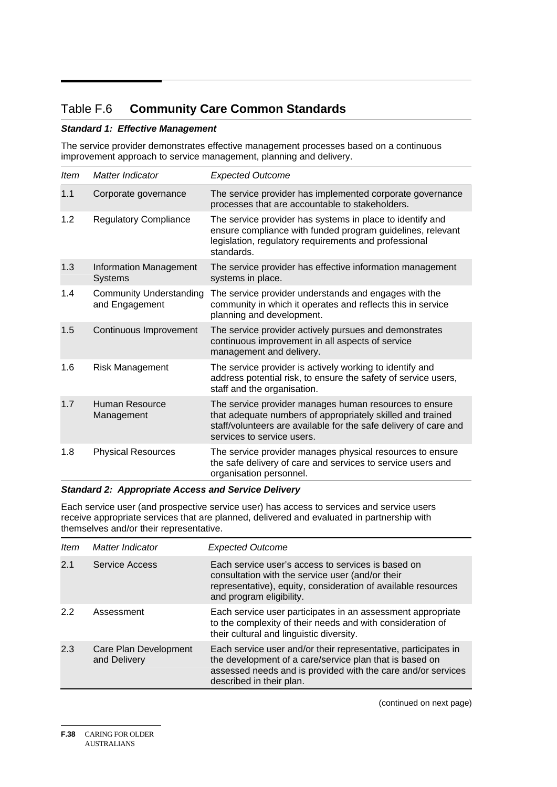### Table F.6 **Community Care Common Standards**

#### *Standard 1: Effective Management*

The service provider demonstrates effective management processes based on a continuous improvement approach to service management, planning and delivery.

| <b>Item</b> | Matter Indicator                                 | <b>Expected Outcome</b>                                                                                                                                                                                                |
|-------------|--------------------------------------------------|------------------------------------------------------------------------------------------------------------------------------------------------------------------------------------------------------------------------|
| 1.1         | Corporate governance                             | The service provider has implemented corporate governance<br>processes that are accountable to stakeholders.                                                                                                           |
| 1.2         | <b>Regulatory Compliance</b>                     | The service provider has systems in place to identify and<br>ensure compliance with funded program guidelines, relevant<br>legislation, regulatory requirements and professional<br>standards.                         |
| 1.3         | Information Management<br><b>Systems</b>         | The service provider has effective information management<br>systems in place.                                                                                                                                         |
| 1.4         | <b>Community Understanding</b><br>and Engagement | The service provider understands and engages with the<br>community in which it operates and reflects this in service<br>planning and development.                                                                      |
| 1.5         | Continuous Improvement                           | The service provider actively pursues and demonstrates<br>continuous improvement in all aspects of service<br>management and delivery.                                                                                 |
| 1.6         | Risk Management                                  | The service provider is actively working to identify and<br>address potential risk, to ensure the safety of service users,<br>staff and the organisation.                                                              |
| 1.7         | Human Resource<br>Management                     | The service provider manages human resources to ensure<br>that adequate numbers of appropriately skilled and trained<br>staff/volunteers are available for the safe delivery of care and<br>services to service users. |
| 1.8         | <b>Physical Resources</b>                        | The service provider manages physical resources to ensure<br>the safe delivery of care and services to service users and<br>organisation personnel.                                                                    |

#### *Standard 2: Appropriate Access and Service Delivery*

Each service user (and prospective service user) has access to services and service users receive appropriate services that are planned, delivered and evaluated in partnership with themselves and/or their representative.

| ltem | Matter Indicator                      | <b>Expected Outcome</b>                                                                                                                                                                                               |
|------|---------------------------------------|-----------------------------------------------------------------------------------------------------------------------------------------------------------------------------------------------------------------------|
| 2.1  | Service Access                        | Each service user's access to services is based on<br>consultation with the service user (and/or their<br>representative), equity, consideration of available resources<br>and program eligibility.                   |
| 2.2  | Assessment                            | Each service user participates in an assessment appropriate<br>to the complexity of their needs and with consideration of<br>their cultural and linguistic diversity.                                                 |
| 2.3  | Care Plan Development<br>and Delivery | Each service user and/or their representative, participates in<br>the development of a care/service plan that is based on<br>assessed needs and is provided with the care and/or services<br>described in their plan. |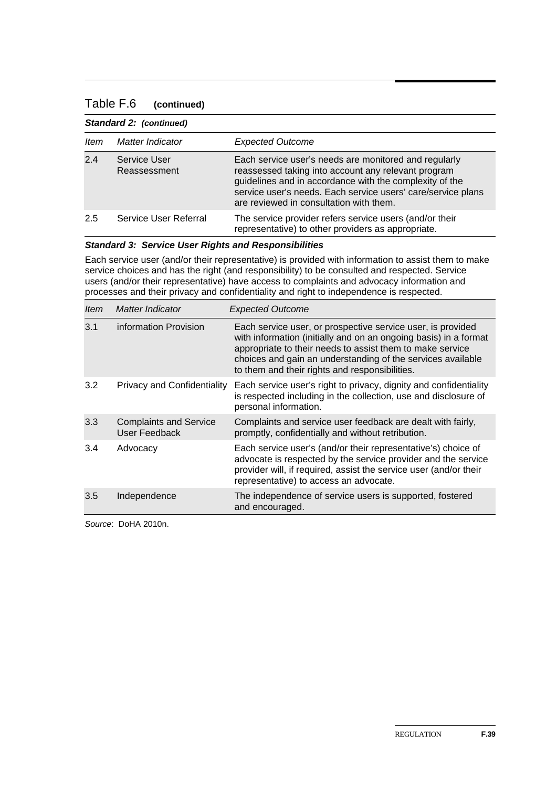#### Table F.6 **(continued)**

| Standard 2: (continued) |                              |                                                                                                                                                                                                                                                                                    |
|-------------------------|------------------------------|------------------------------------------------------------------------------------------------------------------------------------------------------------------------------------------------------------------------------------------------------------------------------------|
| ltem                    | Matter Indicator             | <b>Expected Outcome</b>                                                                                                                                                                                                                                                            |
| 2.4                     | Service User<br>Reassessment | Each service user's needs are monitored and regularly<br>reassessed taking into account any relevant program<br>guidelines and in accordance with the complexity of the<br>service user's needs. Each service users' care/service plans<br>are reviewed in consultation with them. |
| 2.5                     | Service User Referral        | The service provider refers service users (and/or their<br>representative) to other providers as appropriate.                                                                                                                                                                      |

#### *Standard 3: Service User Rights and Responsibilities*

Each service user (and/or their representative) is provided with information to assist them to make service choices and has the right (and responsibility) to be consulted and respected. Service users (and/or their representative) have access to complaints and advocacy information and processes and their privacy and confidentiality and right to independence is respected.

| <i>Item</i> | Matter Indicator                               | <b>Expected Outcome</b>                                                                                                                                                                                                                                                                                       |
|-------------|------------------------------------------------|---------------------------------------------------------------------------------------------------------------------------------------------------------------------------------------------------------------------------------------------------------------------------------------------------------------|
| 3.1         | information Provision                          | Each service user, or prospective service user, is provided<br>with information (initially and on an ongoing basis) in a format<br>appropriate to their needs to assist them to make service<br>choices and gain an understanding of the services available<br>to them and their rights and responsibilities. |
| 3.2         | <b>Privacy and Confidentiality</b>             | Each service user's right to privacy, dignity and confidentiality<br>is respected including in the collection, use and disclosure of<br>personal information.                                                                                                                                                 |
| 3.3         | <b>Complaints and Service</b><br>User Feedback | Complaints and service user feedback are dealt with fairly,<br>promptly, confidentially and without retribution.                                                                                                                                                                                              |
| 3.4         | Advocacy                                       | Each service user's (and/or their representative's) choice of<br>advocate is respected by the service provider and the service<br>provider will, if required, assist the service user (and/or their<br>representative) to access an advocate.                                                                 |
| 3.5         | Independence                                   | The independence of service users is supported, fostered<br>and encouraged.                                                                                                                                                                                                                                   |

*Source*: DoHA 2010n.